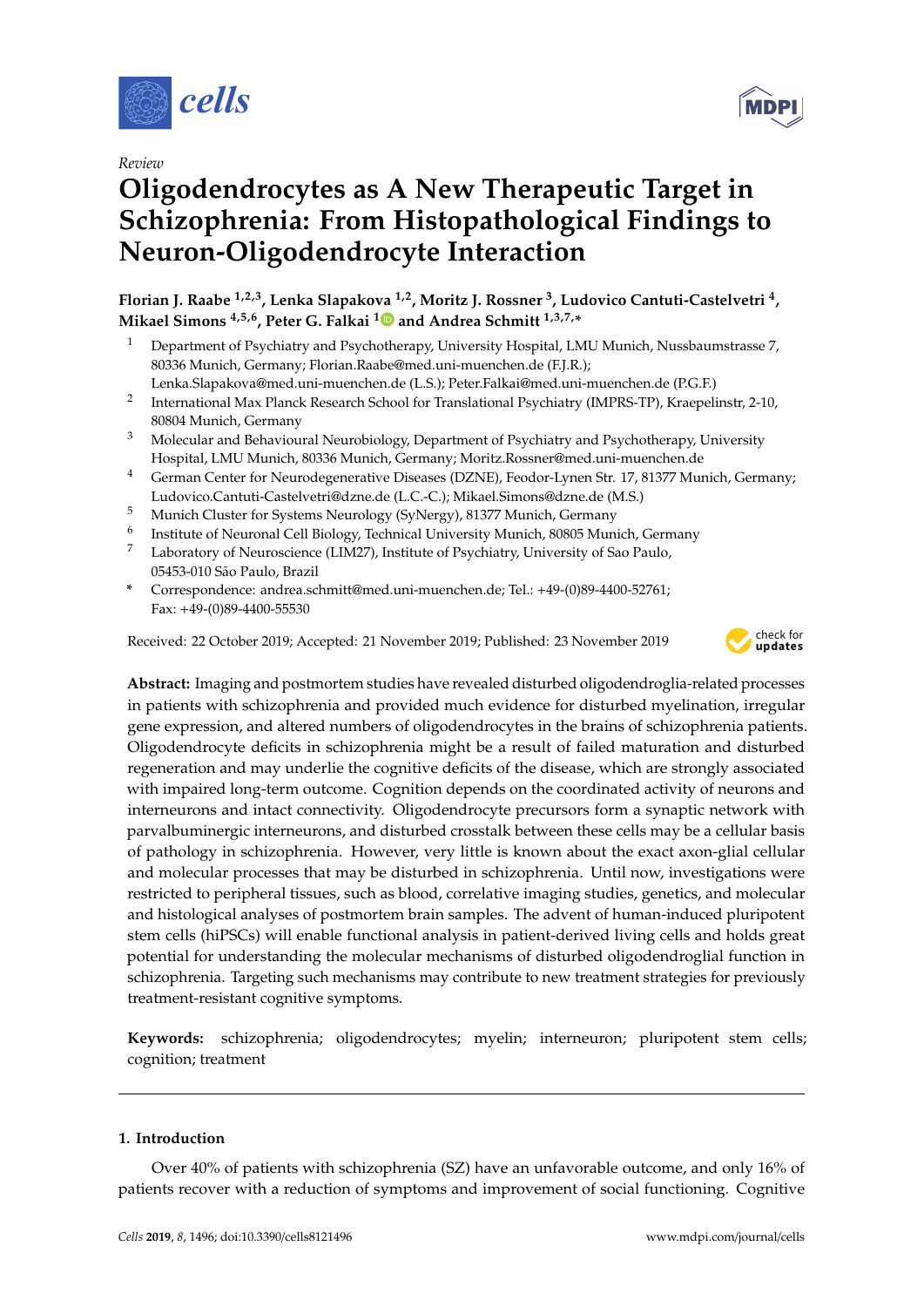

*Review*

# **Oligodendrocytes as A New Therapeutic Target in Schizophrenia: From Histopathological Findings to Neuron-Oligodendrocyte Interaction**

**Florian J. Raabe 1,2,3, Lenka Slapakova 1,2, Moritz J. Rossner <sup>3</sup> , Ludovico Cantuti-Castelvetri <sup>4</sup> , Mikael Simons 4,5,6, Peter G. Falkai [1](https://orcid.org/0000-0003-2873-8667) and Andrea Schmitt 1,3,7,\***

- <sup>1</sup> Department of Psychiatry and Psychotherapy, University Hospital, LMU Munich, Nussbaumstrasse 7, 80336 Munich, Germany; Florian.Raabe@med.uni-muenchen.de (F.J.R.);
- Lenka.Slapakova@med.uni-muenchen.de (L.S.); Peter.Falkai@med.uni-muenchen.de (P.G.F.) 2 International Max Planck Research School for Translational Psychiatry (IMPRS-TP), Kraepelinstr, 2-10, 80804 Munich, Germany
- <sup>3</sup> Molecular and Behavioural Neurobiology, Department of Psychiatry and Psychotherapy, University Hospital, LMU Munich, 80336 Munich, Germany; Moritz.Rossner@med.uni-muenchen.de
- <sup>4</sup> German Center for Neurodegenerative Diseases (DZNE), Feodor-Lynen Str. 17, 81377 Munich, Germany; Ludovico.Cantuti-Castelvetri@dzne.de (L.C.-C.); Mikael.Simons@dzne.de (M.S.)
- <sup>5</sup> Munich Cluster for Systems Neurology (SyNergy), 81377 Munich, Germany
- 6 Institute of Neuronal Cell Biology, Technical University Munich, 80805 Munich, Germany
- <sup>7</sup> Laboratory of Neuroscience (LIM27), Institute of Psychiatry, University of Sao Paulo, 05453-010 São Paulo, Brazil
- **\*** Correspondence: andrea.schmitt@med.uni-muenchen.de; Tel.: +49-(0)89-4400-52761; Fax: +49-(0)89-4400-55530

Received: 22 October 2019; Accepted: 21 November 2019; Published: 23 November 2019



**Abstract:** Imaging and postmortem studies have revealed disturbed oligodendroglia-related processes in patients with schizophrenia and provided much evidence for disturbed myelination, irregular gene expression, and altered numbers of oligodendrocytes in the brains of schizophrenia patients. Oligodendrocyte deficits in schizophrenia might be a result of failed maturation and disturbed regeneration and may underlie the cognitive deficits of the disease, which are strongly associated with impaired long-term outcome. Cognition depends on the coordinated activity of neurons and interneurons and intact connectivity. Oligodendrocyte precursors form a synaptic network with parvalbuminergic interneurons, and disturbed crosstalk between these cells may be a cellular basis of pathology in schizophrenia. However, very little is known about the exact axon-glial cellular and molecular processes that may be disturbed in schizophrenia. Until now, investigations were restricted to peripheral tissues, such as blood, correlative imaging studies, genetics, and molecular and histological analyses of postmortem brain samples. The advent of human-induced pluripotent stem cells (hiPSCs) will enable functional analysis in patient-derived living cells and holds great potential for understanding the molecular mechanisms of disturbed oligodendroglial function in schizophrenia. Targeting such mechanisms may contribute to new treatment strategies for previously treatment-resistant cognitive symptoms.

**Keywords:** schizophrenia; oligodendrocytes; myelin; interneuron; pluripotent stem cells; cognition; treatment

## **1. Introduction**

Over 40% of patients with schizophrenia (SZ) have an unfavorable outcome, and only 16% of patients recover with a reduction of symptoms and improvement of social functioning. Cognitive

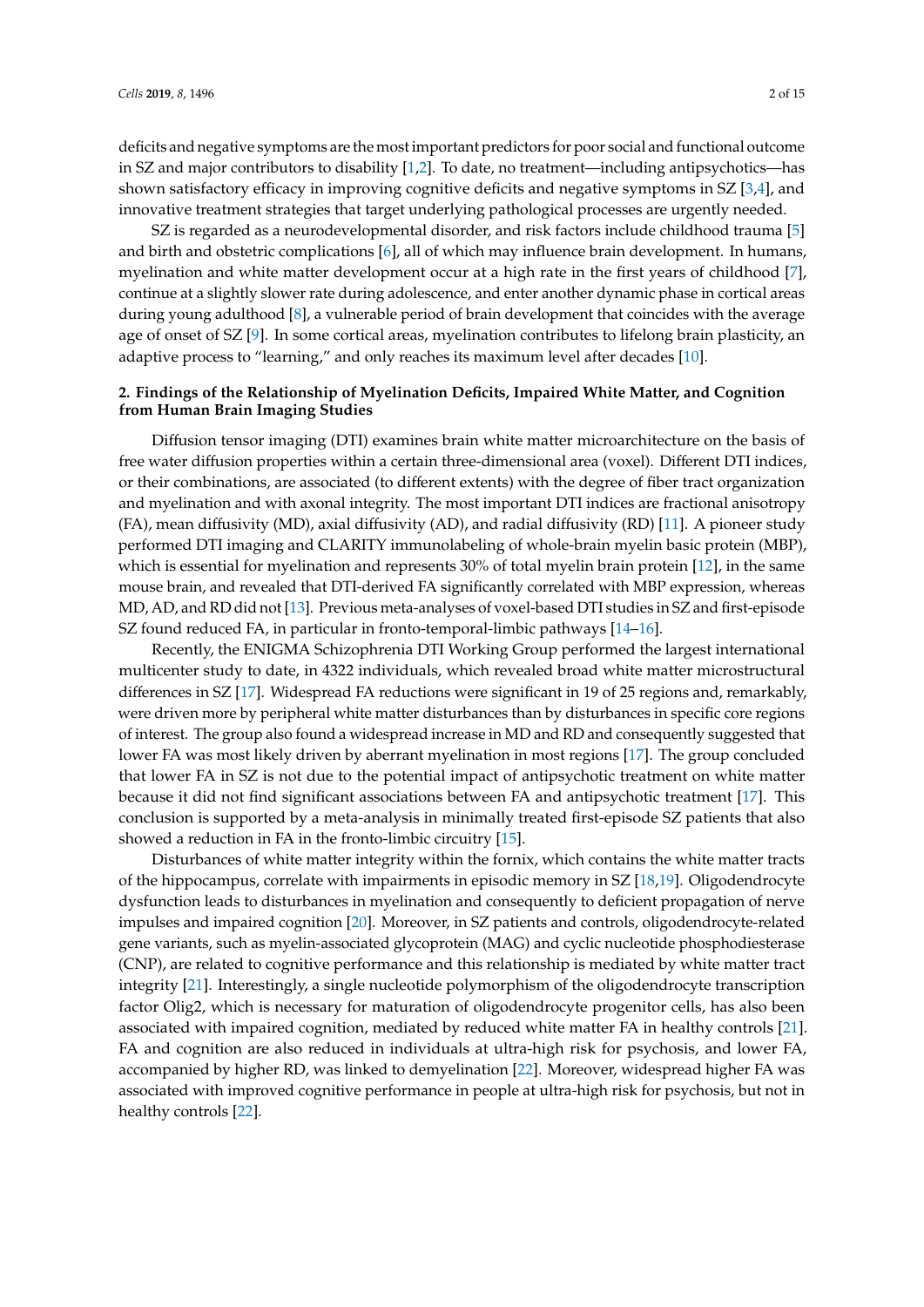deficits and negative symptoms are the most important predictors for poor social and functional outcome in SZ and major contributors to disability [\[1,](#page-9-0)[2\]](#page-9-1). To date, no treatment—including antipsychotics—has shown satisfactory efficacy in improving cognitive deficits and negative symptoms in SZ [\[3](#page-9-2)[,4\]](#page-9-3), and innovative treatment strategies that target underlying pathological processes are urgently needed.

SZ is regarded as a neurodevelopmental disorder, and risk factors include childhood trauma [\[5\]](#page-9-4) and birth and obstetric complications [\[6\]](#page-9-5), all of which may influence brain development. In humans, myelination and white matter development occur at a high rate in the first years of childhood [\[7\]](#page-9-6), continue at a slightly slower rate during adolescence, and enter another dynamic phase in cortical areas during young adulthood [\[8\]](#page-9-7), a vulnerable period of brain development that coincides with the average age of onset of SZ [\[9\]](#page-9-8). In some cortical areas, myelination contributes to lifelong brain plasticity, an adaptive process to "learning," and only reaches its maximum level after decades [\[10\]](#page-9-9).

## **2. Findings of the Relationship of Myelination Deficits, Impaired White Matter, and Cognition from Human Brain Imaging Studies**

Diffusion tensor imaging (DTI) examines brain white matter microarchitecture on the basis of free water diffusion properties within a certain three-dimensional area (voxel). Different DTI indices, or their combinations, are associated (to different extents) with the degree of fiber tract organization and myelination and with axonal integrity. The most important DTI indices are fractional anisotropy (FA), mean diffusivity (MD), axial diffusivity (AD), and radial diffusivity (RD) [\[11\]](#page-9-10). A pioneer study performed DTI imaging and CLARITY immunolabeling of whole-brain myelin basic protein (MBP), which is essential for myelination and represents 30% of total myelin brain protein [\[12\]](#page-9-11), in the same mouse brain, and revealed that DTI-derived FA significantly correlated with MBP expression, whereas MD, AD, and RD did not [\[13\]](#page-9-12). Previous meta-analyses of voxel-based DTI studies in SZ and first-episode SZ found reduced FA, in particular in fronto-temporal-limbic pathways [\[14–](#page-9-13)[16\]](#page-9-14).

Recently, the ENIGMA Schizophrenia DTI Working Group performed the largest international multicenter study to date, in 4322 individuals, which revealed broad white matter microstructural differences in SZ [\[17\]](#page-10-0). Widespread FA reductions were significant in 19 of 25 regions and, remarkably, were driven more by peripheral white matter disturbances than by disturbances in specific core regions of interest. The group also found a widespread increase in MD and RD and consequently suggested that lower FA was most likely driven by aberrant myelination in most regions [\[17\]](#page-10-0). The group concluded that lower FA in SZ is not due to the potential impact of antipsychotic treatment on white matter because it did not find significant associations between FA and antipsychotic treatment [\[17\]](#page-10-0). This conclusion is supported by a meta-analysis in minimally treated first-episode SZ patients that also showed a reduction in FA in the fronto-limbic circuitry [\[15\]](#page-9-15).

Disturbances of white matter integrity within the fornix, which contains the white matter tracts of the hippocampus, correlate with impairments in episodic memory in SZ [\[18,](#page-10-1)[19\]](#page-10-2). Oligodendrocyte dysfunction leads to disturbances in myelination and consequently to deficient propagation of nerve impulses and impaired cognition [\[20\]](#page-10-3). Moreover, in SZ patients and controls, oligodendrocyte-related gene variants, such as myelin-associated glycoprotein (MAG) and cyclic nucleotide phosphodiesterase (CNP), are related to cognitive performance and this relationship is mediated by white matter tract integrity [\[21\]](#page-10-4). Interestingly, a single nucleotide polymorphism of the oligodendrocyte transcription factor Olig2, which is necessary for maturation of oligodendrocyte progenitor cells, has also been associated with impaired cognition, mediated by reduced white matter FA in healthy controls [\[21\]](#page-10-4). FA and cognition are also reduced in individuals at ultra-high risk for psychosis, and lower FA, accompanied by higher RD, was linked to demyelination [\[22\]](#page-10-5). Moreover, widespread higher FA was associated with improved cognitive performance in people at ultra-high risk for psychosis, but not in healthy controls [\[22\]](#page-10-5).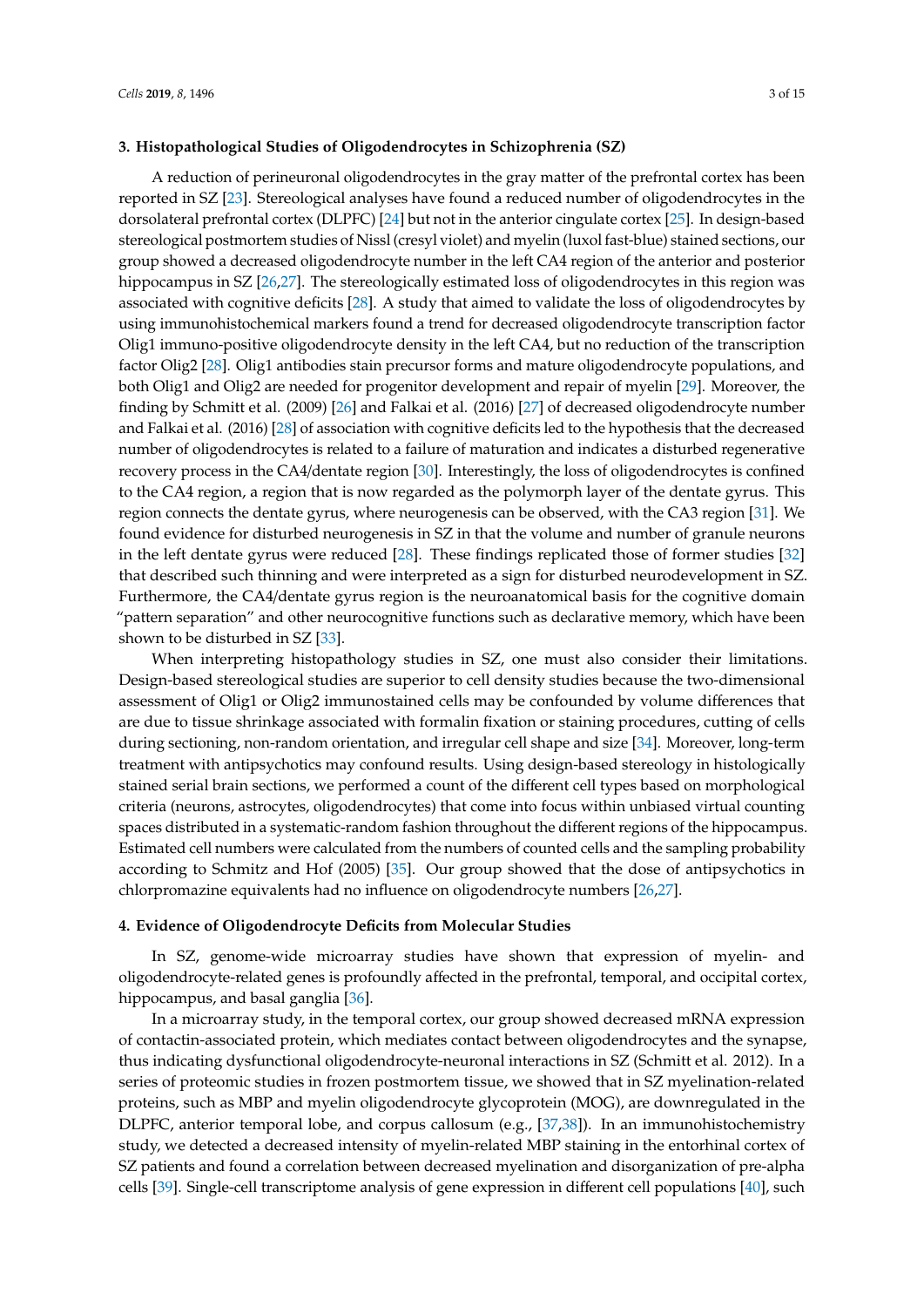#### **3. Histopathological Studies of Oligodendrocytes in Schizophrenia (SZ)**

A reduction of perineuronal oligodendrocytes in the gray matter of the prefrontal cortex has been reported in SZ [\[23\]](#page-10-6). Stereological analyses have found a reduced number of oligodendrocytes in the dorsolateral prefrontal cortex (DLPFC) [\[24\]](#page-10-7) but not in the anterior cingulate cortex [\[25\]](#page-10-8). In design-based stereological postmortem studies of Nissl (cresyl violet) and myelin (luxol fast-blue) stained sections, our group showed a decreased oligodendrocyte number in the left CA4 region of the anterior and posterior hippocampus in SZ [\[26](#page-10-9)[,27\]](#page-10-10). The stereologically estimated loss of oligodendrocytes in this region was associated with cognitive deficits [\[28\]](#page-10-11). A study that aimed to validate the loss of oligodendrocytes by using immunohistochemical markers found a trend for decreased oligodendrocyte transcription factor Olig1 immuno-positive oligodendrocyte density in the left CA4, but no reduction of the transcription factor Olig2 [\[28\]](#page-10-11). Olig1 antibodies stain precursor forms and mature oligodendrocyte populations, and both Olig1 and Olig2 are needed for progenitor development and repair of myelin [\[29\]](#page-10-12). Moreover, the finding by Schmitt et al. (2009) [\[26\]](#page-10-9) and Falkai et al. (2016) [\[27\]](#page-10-10) of decreased oligodendrocyte number and Falkai et al. (2016) [\[28\]](#page-10-11) of association with cognitive deficits led to the hypothesis that the decreased number of oligodendrocytes is related to a failure of maturation and indicates a disturbed regenerative recovery process in the CA4/dentate region [\[30\]](#page-10-13). Interestingly, the loss of oligodendrocytes is confined to the CA4 region, a region that is now regarded as the polymorph layer of the dentate gyrus. This region connects the dentate gyrus, where neurogenesis can be observed, with the CA3 region [\[31\]](#page-10-14). We found evidence for disturbed neurogenesis in SZ in that the volume and number of granule neurons in the left dentate gyrus were reduced [\[28\]](#page-10-11). These findings replicated those of former studies [\[32\]](#page-10-15) that described such thinning and were interpreted as a sign for disturbed neurodevelopment in SZ. Furthermore, the CA4/dentate gyrus region is the neuroanatomical basis for the cognitive domain "pattern separation" and other neurocognitive functions such as declarative memory, which have been shown to be disturbed in SZ [\[33\]](#page-10-16).

When interpreting histopathology studies in SZ, one must also consider their limitations. Design-based stereological studies are superior to cell density studies because the two-dimensional assessment of Olig1 or Olig2 immunostained cells may be confounded by volume differences that are due to tissue shrinkage associated with formalin fixation or staining procedures, cutting of cells during sectioning, non-random orientation, and irregular cell shape and size [\[34\]](#page-10-17). Moreover, long-term treatment with antipsychotics may confound results. Using design-based stereology in histologically stained serial brain sections, we performed a count of the different cell types based on morphological criteria (neurons, astrocytes, oligodendrocytes) that come into focus within unbiased virtual counting spaces distributed in a systematic-random fashion throughout the different regions of the hippocampus. Estimated cell numbers were calculated from the numbers of counted cells and the sampling probability according to Schmitz and Hof (2005) [\[35\]](#page-10-18). Our group showed that the dose of antipsychotics in chlorpromazine equivalents had no influence on oligodendrocyte numbers [\[26,](#page-10-9)[27\]](#page-10-10).

#### **4. Evidence of Oligodendrocyte Deficits from Molecular Studies**

In SZ, genome-wide microarray studies have shown that expression of myelin- and oligodendrocyte-related genes is profoundly affected in the prefrontal, temporal, and occipital cortex, hippocampus, and basal ganglia [\[36\]](#page-11-0).

In a microarray study, in the temporal cortex, our group showed decreased mRNA expression of contactin-associated protein, which mediates contact between oligodendrocytes and the synapse, thus indicating dysfunctional oligodendrocyte-neuronal interactions in SZ (Schmitt et al. 2012). In a series of proteomic studies in frozen postmortem tissue, we showed that in SZ myelination-related proteins, such as MBP and myelin oligodendrocyte glycoprotein (MOG), are downregulated in the DLPFC, anterior temporal lobe, and corpus callosum (e.g., [\[37,](#page-11-1)[38\]](#page-11-2)). In an immunohistochemistry study, we detected a decreased intensity of myelin-related MBP staining in the entorhinal cortex of SZ patients and found a correlation between decreased myelination and disorganization of pre-alpha cells [\[39\]](#page-11-3). Single-cell transcriptome analysis of gene expression in different cell populations [\[40\]](#page-11-4), such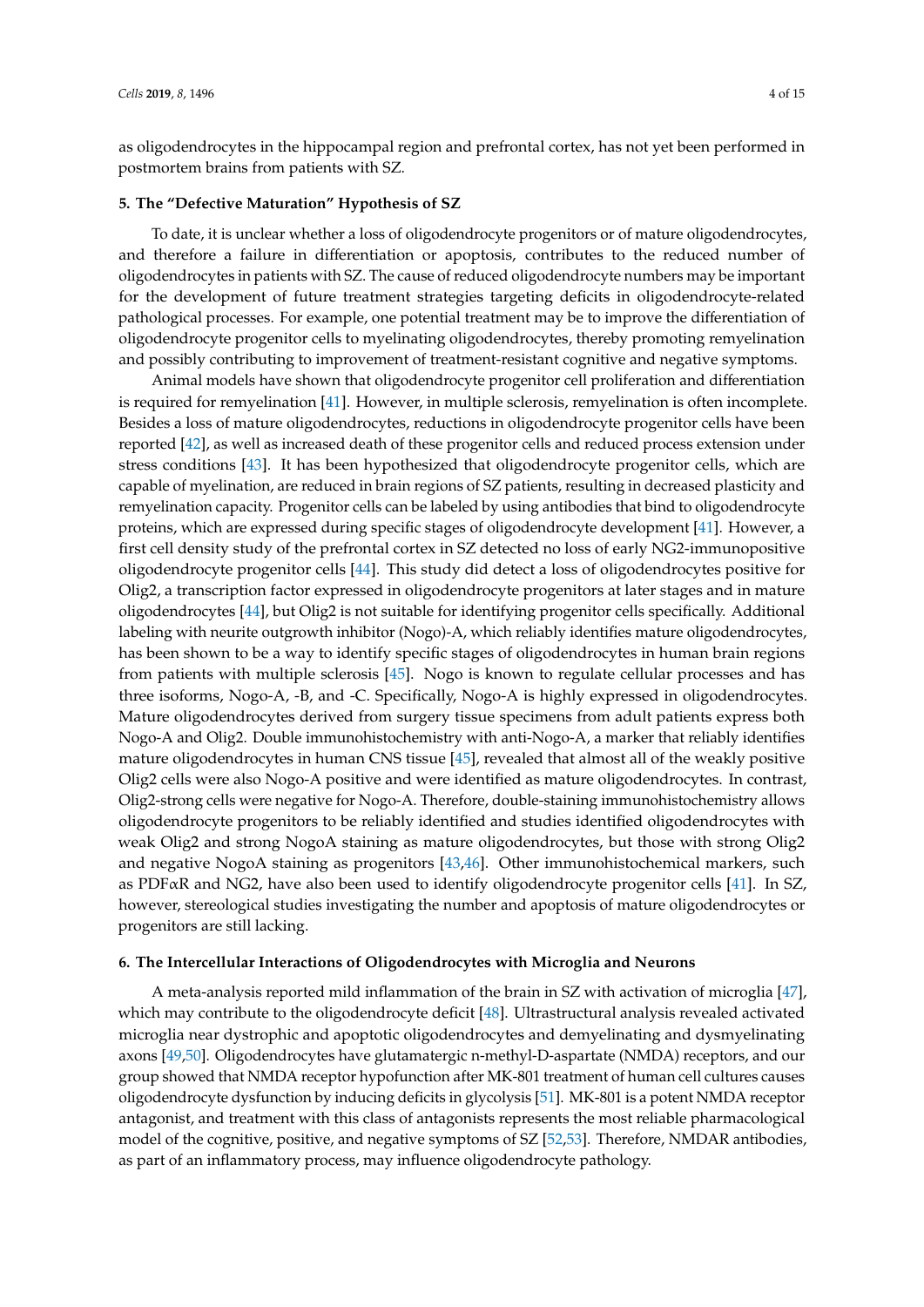as oligodendrocytes in the hippocampal region and prefrontal cortex, has not yet been performed in postmortem brains from patients with SZ.

## **5. The "Defective Maturation" Hypothesis of SZ**

To date, it is unclear whether a loss of oligodendrocyte progenitors or of mature oligodendrocytes, and therefore a failure in differentiation or apoptosis, contributes to the reduced number of oligodendrocytes in patients with SZ. The cause of reduced oligodendrocyte numbers may be important for the development of future treatment strategies targeting deficits in oligodendrocyte-related pathological processes. For example, one potential treatment may be to improve the differentiation of oligodendrocyte progenitor cells to myelinating oligodendrocytes, thereby promoting remyelination and possibly contributing to improvement of treatment-resistant cognitive and negative symptoms.

Animal models have shown that oligodendrocyte progenitor cell proliferation and differentiation is required for remyelination [\[41\]](#page-11-5). However, in multiple sclerosis, remyelination is often incomplete. Besides a loss of mature oligodendrocytes, reductions in oligodendrocyte progenitor cells have been reported [\[42\]](#page-11-6), as well as increased death of these progenitor cells and reduced process extension under stress conditions [\[43\]](#page-11-7). It has been hypothesized that oligodendrocyte progenitor cells, which are capable of myelination, are reduced in brain regions of SZ patients, resulting in decreased plasticity and remyelination capacity. Progenitor cells can be labeled by using antibodies that bind to oligodendrocyte proteins, which are expressed during specific stages of oligodendrocyte development [\[41\]](#page-11-5). However, a first cell density study of the prefrontal cortex in SZ detected no loss of early NG2-immunopositive oligodendrocyte progenitor cells [\[44\]](#page-11-8). This study did detect a loss of oligodendrocytes positive for Olig2, a transcription factor expressed in oligodendrocyte progenitors at later stages and in mature oligodendrocytes [\[44\]](#page-11-8), but Olig2 is not suitable for identifying progenitor cells specifically. Additional labeling with neurite outgrowth inhibitor (Nogo)-A, which reliably identifies mature oligodendrocytes, has been shown to be a way to identify specific stages of oligodendrocytes in human brain regions from patients with multiple sclerosis [\[45\]](#page-11-9). Nogo is known to regulate cellular processes and has three isoforms, Nogo-A, -B, and -C. Specifically, Nogo-A is highly expressed in oligodendrocytes. Mature oligodendrocytes derived from surgery tissue specimens from adult patients express both Nogo-A and Olig2. Double immunohistochemistry with anti-Nogo-A, a marker that reliably identifies mature oligodendrocytes in human CNS tissue [\[45\]](#page-11-9), revealed that almost all of the weakly positive Olig2 cells were also Nogo-A positive and were identified as mature oligodendrocytes. In contrast, Olig2-strong cells were negative for Nogo-A. Therefore, double-staining immunohistochemistry allows oligodendrocyte progenitors to be reliably identified and studies identified oligodendrocytes with weak Olig2 and strong NogoA staining as mature oligodendrocytes, but those with strong Olig2 and negative NogoA staining as progenitors [\[43](#page-11-7)[,46\]](#page-11-10). Other immunohistochemical markers, such as PDFαR and NG2, have also been used to identify oligodendrocyte progenitor cells [\[41\]](#page-11-5). In SZ, however, stereological studies investigating the number and apoptosis of mature oligodendrocytes or progenitors are still lacking.

## **6. The Intercellular Interactions of Oligodendrocytes with Microglia and Neurons**

A meta-analysis reported mild inflammation of the brain in SZ with activation of microglia [\[47\]](#page-11-11), which may contribute to the oligodendrocyte deficit [\[48\]](#page-11-12). Ultrastructural analysis revealed activated microglia near dystrophic and apoptotic oligodendrocytes and demyelinating and dysmyelinating axons [\[49,](#page-11-13)[50\]](#page-11-14). Oligodendrocytes have glutamatergic n-methyl-D-aspartate (NMDA) receptors, and our group showed that NMDA receptor hypofunction after MK-801 treatment of human cell cultures causes oligodendrocyte dysfunction by inducing deficits in glycolysis [\[51\]](#page-11-15). MK-801 is a potent NMDA receptor antagonist, and treatment with this class of antagonists represents the most reliable pharmacological model of the cognitive, positive, and negative symptoms of SZ [\[52,](#page-11-16)[53\]](#page-11-17). Therefore, NMDAR antibodies, as part of an inflammatory process, may influence oligodendrocyte pathology.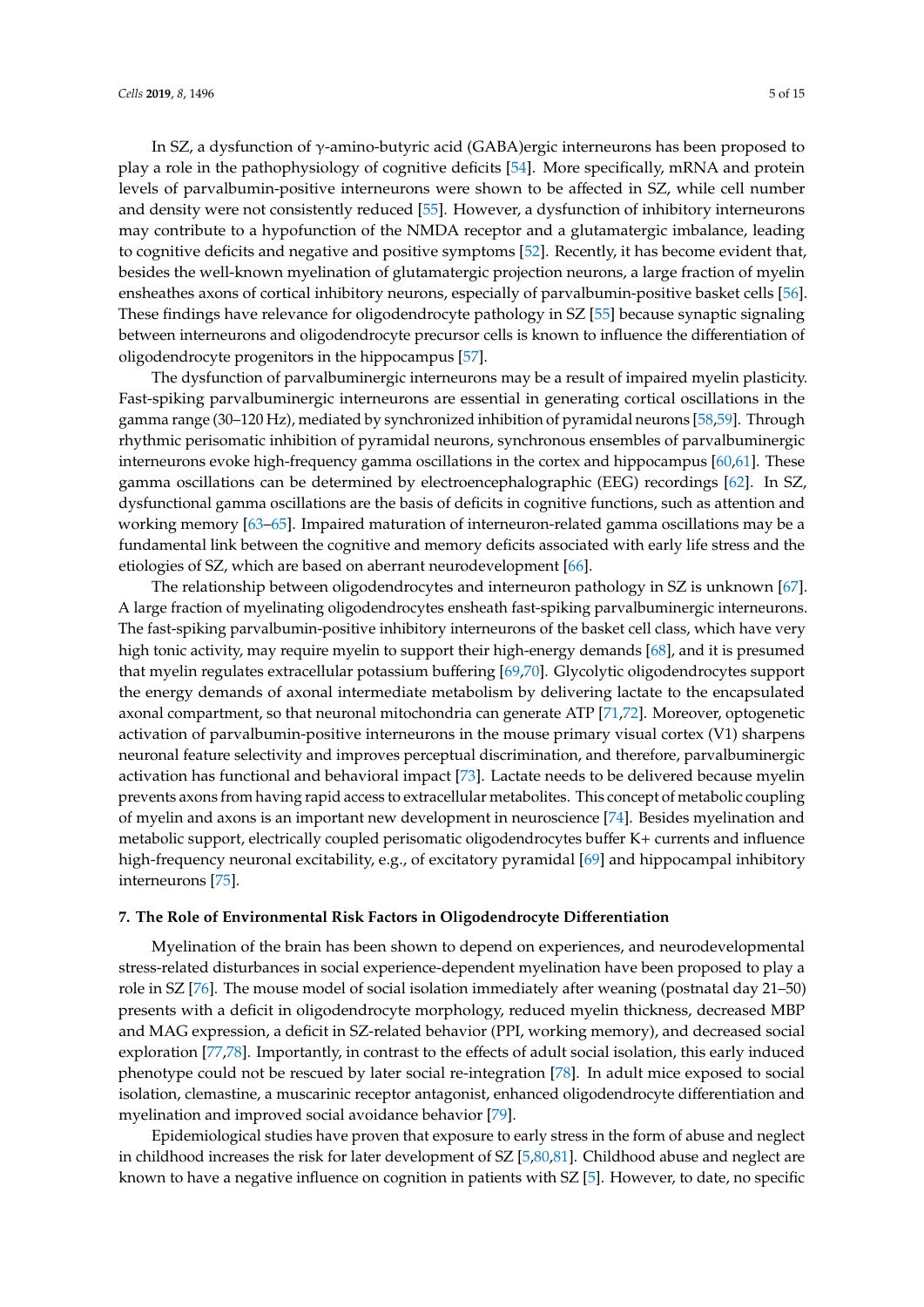In SZ, a dysfunction of γ-amino-butyric acid (GABA)ergic interneurons has been proposed to play a role in the pathophysiology of cognitive deficits [\[54\]](#page-11-18). More specifically, mRNA and protein levels of parvalbumin-positive interneurons were shown to be affected in SZ, while cell number and density were not consistently reduced [\[55\]](#page-12-0). However, a dysfunction of inhibitory interneurons may contribute to a hypofunction of the NMDA receptor and a glutamatergic imbalance, leading to cognitive deficits and negative and positive symptoms [\[52\]](#page-11-16). Recently, it has become evident that, besides the well-known myelination of glutamatergic projection neurons, a large fraction of myelin ensheathes axons of cortical inhibitory neurons, especially of parvalbumin-positive basket cells [\[56\]](#page-12-1). These findings have relevance for oligodendrocyte pathology in SZ [\[55\]](#page-12-0) because synaptic signaling between interneurons and oligodendrocyte precursor cells is known to influence the differentiation of oligodendrocyte progenitors in the hippocampus [\[57\]](#page-12-2).

The dysfunction of parvalbuminergic interneurons may be a result of impaired myelin plasticity. Fast-spiking parvalbuminergic interneurons are essential in generating cortical oscillations in the gamma range (30–120 Hz), mediated by synchronized inhibition of pyramidal neurons [\[58,](#page-12-3)[59\]](#page-12-4). Through rhythmic perisomatic inhibition of pyramidal neurons, synchronous ensembles of parvalbuminergic interneurons evoke high-frequency gamma oscillations in the cortex and hippocampus [\[60,](#page-12-5)[61\]](#page-12-6). These gamma oscillations can be determined by electroencephalographic (EEG) recordings [\[62\]](#page-12-7). In SZ, dysfunctional gamma oscillations are the basis of deficits in cognitive functions, such as attention and working memory [\[63–](#page-12-8)[65\]](#page-12-9). Impaired maturation of interneuron-related gamma oscillations may be a fundamental link between the cognitive and memory deficits associated with early life stress and the etiologies of SZ, which are based on aberrant neurodevelopment [\[66\]](#page-12-10).

The relationship between oligodendrocytes and interneuron pathology in SZ is unknown [\[67\]](#page-12-11). A large fraction of myelinating oligodendrocytes ensheath fast-spiking parvalbuminergic interneurons. The fast-spiking parvalbumin-positive inhibitory interneurons of the basket cell class, which have very high tonic activity, may require myelin to support their high-energy demands [\[68\]](#page-12-12), and it is presumed that myelin regulates extracellular potassium buffering [\[69,](#page-12-13)[70\]](#page-12-14). Glycolytic oligodendrocytes support the energy demands of axonal intermediate metabolism by delivering lactate to the encapsulated axonal compartment, so that neuronal mitochondria can generate ATP [\[71](#page-12-15)[,72\]](#page-12-16). Moreover, optogenetic activation of parvalbumin-positive interneurons in the mouse primary visual cortex (V1) sharpens neuronal feature selectivity and improves perceptual discrimination, and therefore, parvalbuminergic activation has functional and behavioral impact [\[73\]](#page-12-17). Lactate needs to be delivered because myelin prevents axons from having rapid access to extracellular metabolites. This concept of metabolic coupling of myelin and axons is an important new development in neuroscience [\[74\]](#page-12-18). Besides myelination and metabolic support, electrically coupled perisomatic oligodendrocytes buffer K+ currents and influence high-frequency neuronal excitability, e.g., of excitatory pyramidal [\[69\]](#page-12-13) and hippocampal inhibitory interneurons [\[75\]](#page-12-19).

#### **7. The Role of Environmental Risk Factors in Oligodendrocyte Di**ff**erentiation**

Myelination of the brain has been shown to depend on experiences, and neurodevelopmental stress-related disturbances in social experience-dependent myelination have been proposed to play a role in SZ [\[76\]](#page-13-0). The mouse model of social isolation immediately after weaning (postnatal day 21–50) presents with a deficit in oligodendrocyte morphology, reduced myelin thickness, decreased MBP and MAG expression, a deficit in SZ-related behavior (PPI, working memory), and decreased social exploration [\[77](#page-13-1)[,78\]](#page-13-2). Importantly, in contrast to the effects of adult social isolation, this early induced phenotype could not be rescued by later social re-integration [\[78\]](#page-13-2). In adult mice exposed to social isolation, clemastine, a muscarinic receptor antagonist, enhanced oligodendrocyte differentiation and myelination and improved social avoidance behavior [\[79\]](#page-13-3).

Epidemiological studies have proven that exposure to early stress in the form of abuse and neglect in childhood increases the risk for later development of SZ [\[5,](#page-9-4)[80,](#page-13-4)[81\]](#page-13-5). Childhood abuse and neglect are known to have a negative influence on cognition in patients with SZ [\[5\]](#page-9-4). However, to date, no specific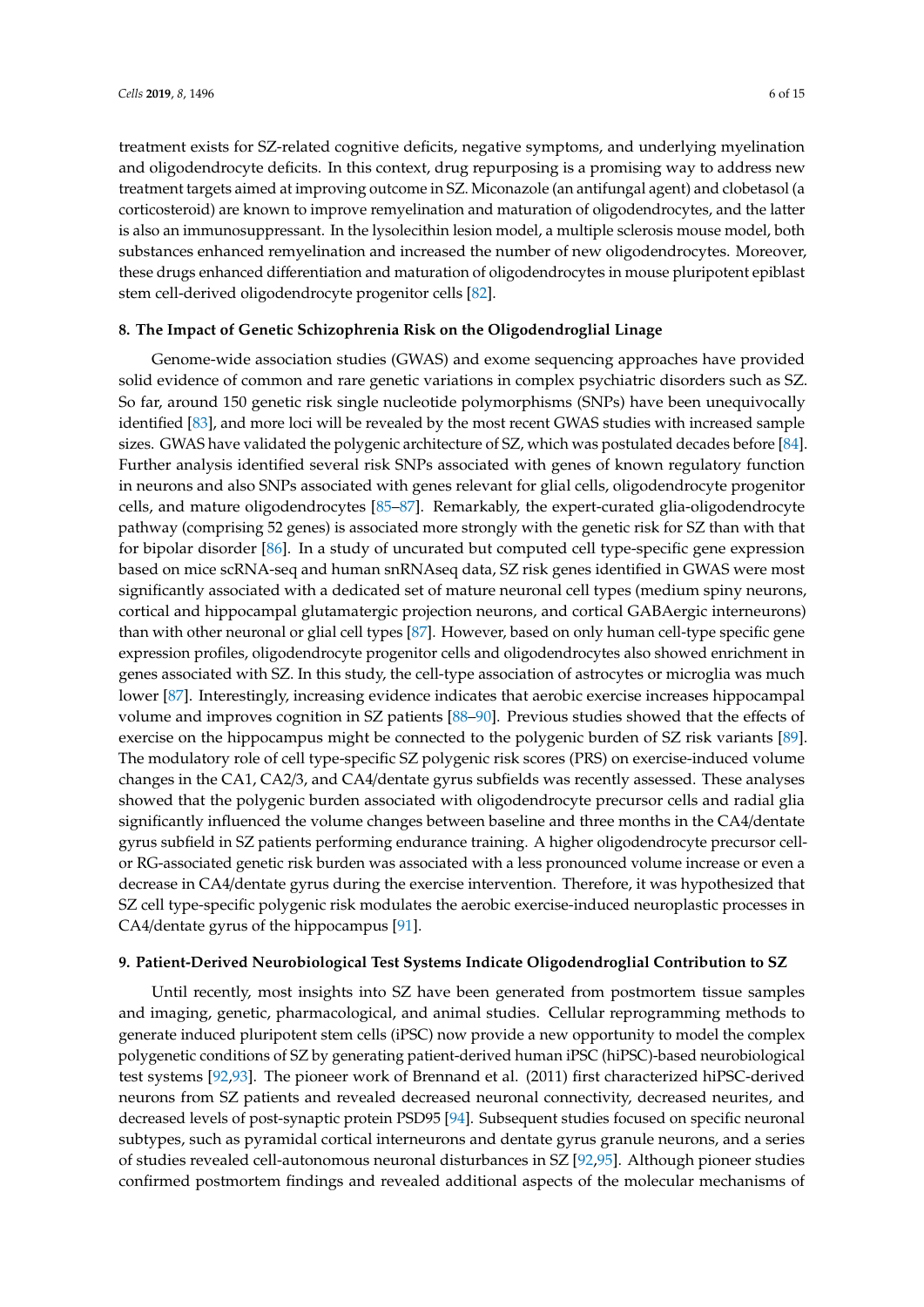treatment exists for SZ-related cognitive deficits, negative symptoms, and underlying myelination and oligodendrocyte deficits. In this context, drug repurposing is a promising way to address new treatment targets aimed at improving outcome in SZ. Miconazole (an antifungal agent) and clobetasol (a corticosteroid) are known to improve remyelination and maturation of oligodendrocytes, and the latter is also an immunosuppressant. In the lysolecithin lesion model, a multiple sclerosis mouse model, both substances enhanced remyelination and increased the number of new oligodendrocytes. Moreover, these drugs enhanced differentiation and maturation of oligodendrocytes in mouse pluripotent epiblast stem cell-derived oligodendrocyte progenitor cells [\[82\]](#page-13-6).

## **8. The Impact of Genetic Schizophrenia Risk on the Oligodendroglial Linage**

Genome-wide association studies (GWAS) and exome sequencing approaches have provided solid evidence of common and rare genetic variations in complex psychiatric disorders such as SZ. So far, around 150 genetic risk single nucleotide polymorphisms (SNPs) have been unequivocally identified [\[83\]](#page-13-7), and more loci will be revealed by the most recent GWAS studies with increased sample sizes. GWAS have validated the polygenic architecture of SZ, which was postulated decades before [\[84\]](#page-13-8). Further analysis identified several risk SNPs associated with genes of known regulatory function in neurons and also SNPs associated with genes relevant for glial cells, oligodendrocyte progenitor cells, and mature oligodendrocytes [\[85–](#page-13-9)[87\]](#page-13-10). Remarkably, the expert-curated glia-oligodendrocyte pathway (comprising 52 genes) is associated more strongly with the genetic risk for SZ than with that for bipolar disorder [\[86\]](#page-13-11). In a study of uncurated but computed cell type-specific gene expression based on mice scRNA-seq and human snRNAseq data, SZ risk genes identified in GWAS were most significantly associated with a dedicated set of mature neuronal cell types (medium spiny neurons, cortical and hippocampal glutamatergic projection neurons, and cortical GABAergic interneurons) than with other neuronal or glial cell types [\[87\]](#page-13-10). However, based on only human cell-type specific gene expression profiles, oligodendrocyte progenitor cells and oligodendrocytes also showed enrichment in genes associated with SZ. In this study, the cell-type association of astrocytes or microglia was much lower [\[87\]](#page-13-10). Interestingly, increasing evidence indicates that aerobic exercise increases hippocampal volume and improves cognition in SZ patients [\[88–](#page-13-12)[90\]](#page-13-13). Previous studies showed that the effects of exercise on the hippocampus might be connected to the polygenic burden of SZ risk variants [\[89\]](#page-13-14). The modulatory role of cell type-specific SZ polygenic risk scores (PRS) on exercise-induced volume changes in the CA1, CA2/3, and CA4/dentate gyrus subfields was recently assessed. These analyses showed that the polygenic burden associated with oligodendrocyte precursor cells and radial glia significantly influenced the volume changes between baseline and three months in the CA4/dentate gyrus subfield in SZ patients performing endurance training. A higher oligodendrocyte precursor cellor RG-associated genetic risk burden was associated with a less pronounced volume increase or even a decrease in CA4/dentate gyrus during the exercise intervention. Therefore, it was hypothesized that SZ cell type-specific polygenic risk modulates the aerobic exercise-induced neuroplastic processes in CA4/dentate gyrus of the hippocampus [\[91\]](#page-13-15).

## **9. Patient-Derived Neurobiological Test Systems Indicate Oligodendroglial Contribution to SZ**

Until recently, most insights into SZ have been generated from postmortem tissue samples and imaging, genetic, pharmacological, and animal studies. Cellular reprogramming methods to generate induced pluripotent stem cells (iPSC) now provide a new opportunity to model the complex polygenetic conditions of SZ by generating patient-derived human iPSC (hiPSC)-based neurobiological test systems [\[92,](#page-13-16)[93\]](#page-13-17). The pioneer work of Brennand et al. (2011) first characterized hiPSC-derived neurons from SZ patients and revealed decreased neuronal connectivity, decreased neurites, and decreased levels of post-synaptic protein PSD95 [\[94\]](#page-13-18). Subsequent studies focused on specific neuronal subtypes, such as pyramidal cortical interneurons and dentate gyrus granule neurons, and a series of studies revealed cell-autonomous neuronal disturbances in SZ [\[92](#page-13-16)[,95\]](#page-14-0). Although pioneer studies confirmed postmortem findings and revealed additional aspects of the molecular mechanisms of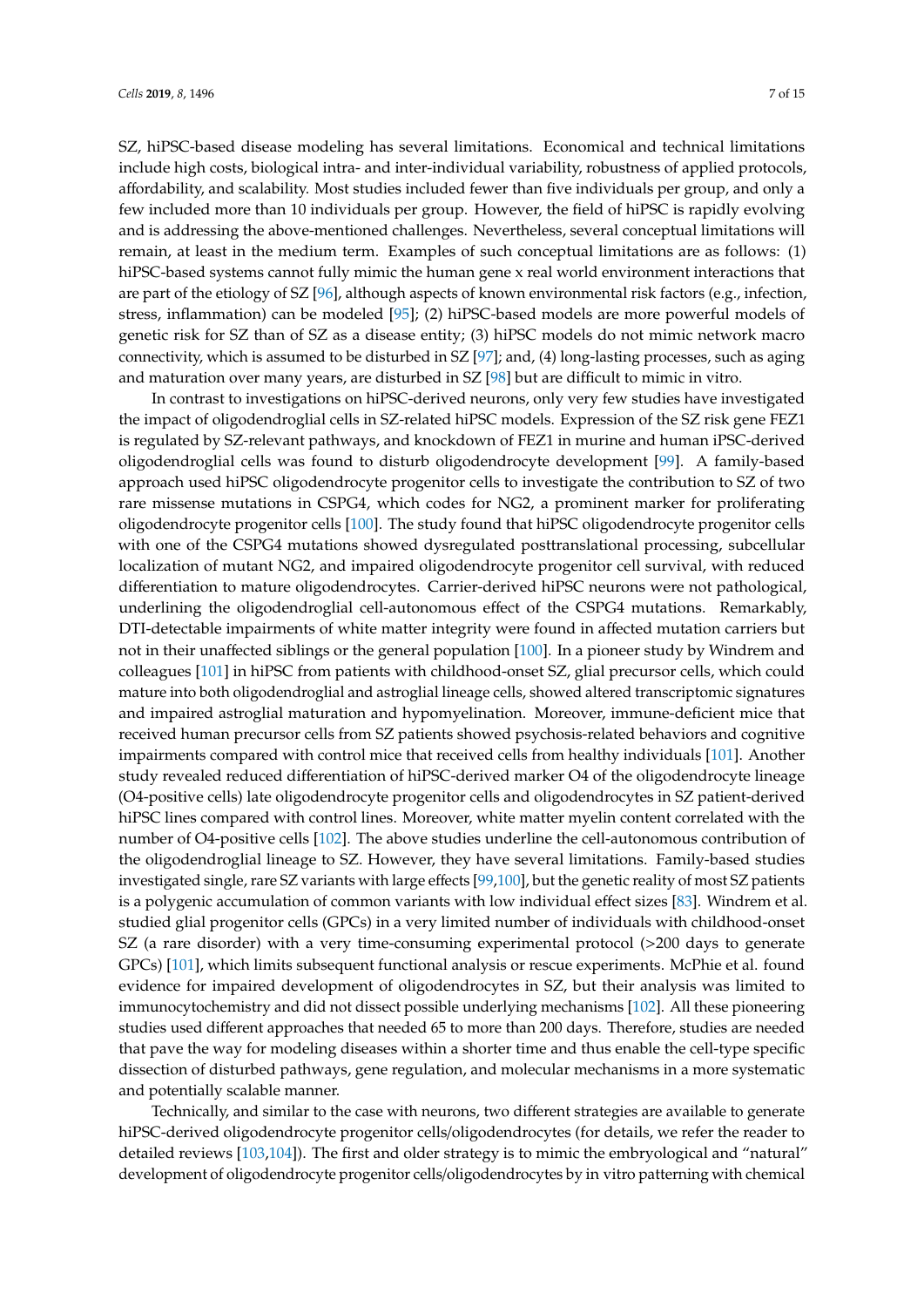SZ, hiPSC-based disease modeling has several limitations. Economical and technical limitations include high costs, biological intra- and inter-individual variability, robustness of applied protocols, affordability, and scalability. Most studies included fewer than five individuals per group, and only a few included more than 10 individuals per group. However, the field of hiPSC is rapidly evolving and is addressing the above-mentioned challenges. Nevertheless, several conceptual limitations will remain, at least in the medium term. Examples of such conceptual limitations are as follows: (1) hiPSC-based systems cannot fully mimic the human gene x real world environment interactions that are part of the etiology of SZ [\[96\]](#page-14-1), although aspects of known environmental risk factors (e.g., infection, stress, inflammation) can be modeled [\[95\]](#page-14-0); (2) hiPSC-based models are more powerful models of genetic risk for SZ than of SZ as a disease entity; (3) hiPSC models do not mimic network macro connectivity, which is assumed to be disturbed in SZ [\[97\]](#page-14-2); and, (4) long-lasting processes, such as aging and maturation over many years, are disturbed in SZ [\[98\]](#page-14-3) but are difficult to mimic in vitro.

In contrast to investigations on hiPSC-derived neurons, only very few studies have investigated the impact of oligodendroglial cells in SZ-related hiPSC models. Expression of the SZ risk gene FEZ1 is regulated by SZ-relevant pathways, and knockdown of FEZ1 in murine and human iPSC-derived oligodendroglial cells was found to disturb oligodendrocyte development [\[99\]](#page-14-4). A family-based approach used hiPSC oligodendrocyte progenitor cells to investigate the contribution to SZ of two rare missense mutations in CSPG4, which codes for NG2, a prominent marker for proliferating oligodendrocyte progenitor cells [\[100\]](#page-14-5). The study found that hiPSC oligodendrocyte progenitor cells with one of the CSPG4 mutations showed dysregulated posttranslational processing, subcellular localization of mutant NG2, and impaired oligodendrocyte progenitor cell survival, with reduced differentiation to mature oligodendrocytes. Carrier-derived hiPSC neurons were not pathological, underlining the oligodendroglial cell-autonomous effect of the CSPG4 mutations. Remarkably, DTI-detectable impairments of white matter integrity were found in affected mutation carriers but not in their unaffected siblings or the general population [\[100\]](#page-14-5). In a pioneer study by Windrem and colleagues [\[101\]](#page-14-6) in hiPSC from patients with childhood-onset SZ, glial precursor cells, which could mature into both oligodendroglial and astroglial lineage cells, showed altered transcriptomic signatures and impaired astroglial maturation and hypomyelination. Moreover, immune-deficient mice that received human precursor cells from SZ patients showed psychosis-related behaviors and cognitive impairments compared with control mice that received cells from healthy individuals [\[101\]](#page-14-6). Another study revealed reduced differentiation of hiPSC-derived marker O4 of the oligodendrocyte lineage (O4-positive cells) late oligodendrocyte progenitor cells and oligodendrocytes in SZ patient-derived hiPSC lines compared with control lines. Moreover, white matter myelin content correlated with the number of O4-positive cells [\[102\]](#page-14-7). The above studies underline the cell-autonomous contribution of the oligodendroglial lineage to SZ. However, they have several limitations. Family-based studies investigated single, rare SZ variants with large effects [\[99,](#page-14-4)[100\]](#page-14-5), but the genetic reality of most SZ patients is a polygenic accumulation of common variants with low individual effect sizes [\[83\]](#page-13-7). Windrem et al. studied glial progenitor cells (GPCs) in a very limited number of individuals with childhood-onset SZ (a rare disorder) with a very time-consuming experimental protocol (>200 days to generate GPCs) [\[101\]](#page-14-6), which limits subsequent functional analysis or rescue experiments. McPhie et al. found evidence for impaired development of oligodendrocytes in SZ, but their analysis was limited to immunocytochemistry and did not dissect possible underlying mechanisms [\[102\]](#page-14-7). All these pioneering studies used different approaches that needed 65 to more than 200 days. Therefore, studies are needed that pave the way for modeling diseases within a shorter time and thus enable the cell-type specific dissection of disturbed pathways, gene regulation, and molecular mechanisms in a more systematic and potentially scalable manner.

Technically, and similar to the case with neurons, two different strategies are available to generate hiPSC-derived oligodendrocyte progenitor cells/oligodendrocytes (for details, we refer the reader to detailed reviews [\[103](#page-14-8)[,104\]](#page-14-9)). The first and older strategy is to mimic the embryological and "natural" development of oligodendrocyte progenitor cells/oligodendrocytes by in vitro patterning with chemical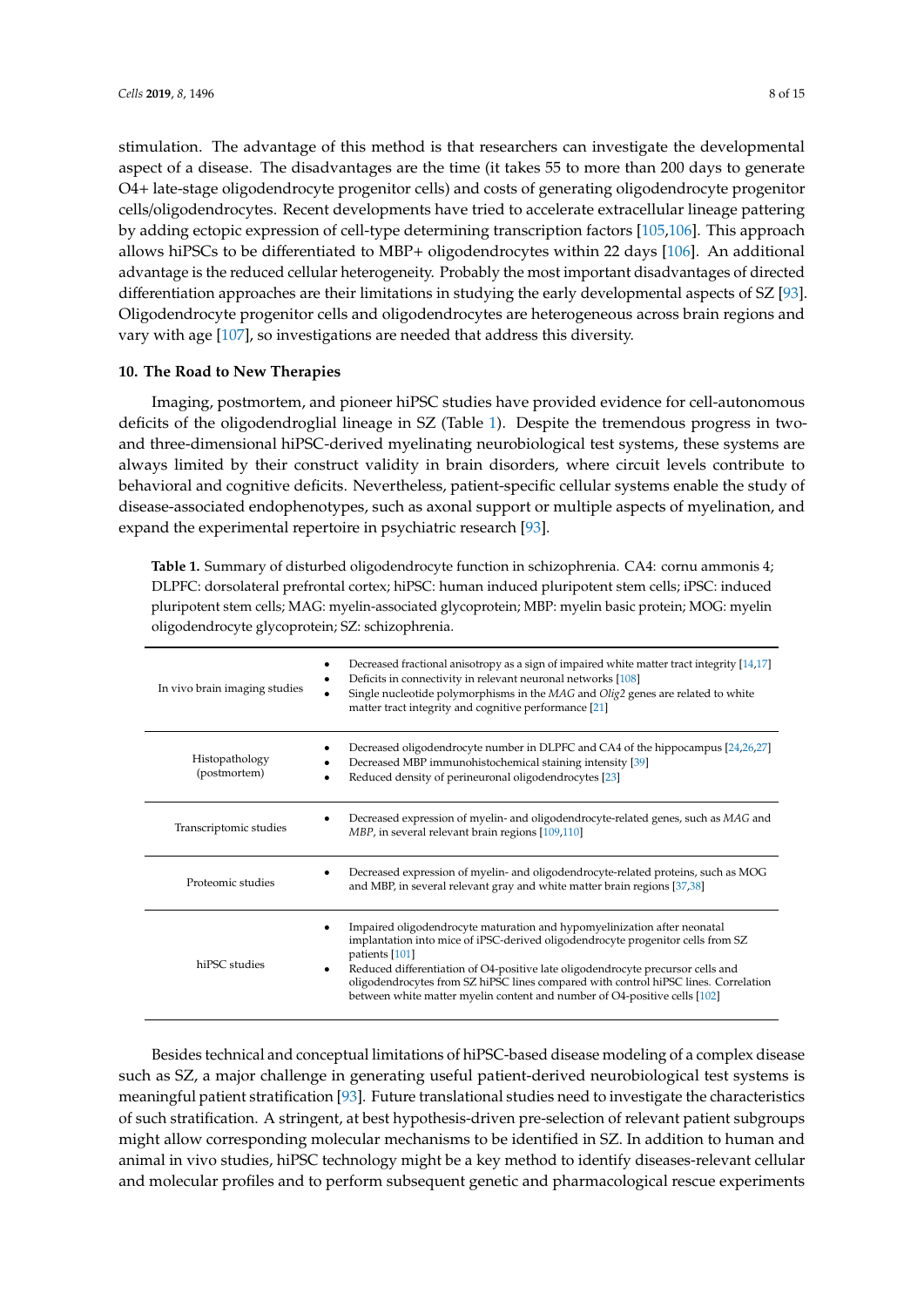stimulation. The advantage of this method is that researchers can investigate the developmental aspect of a disease. The disadvantages are the time (it takes 55 to more than 200 days to generate O4+ late-stage oligodendrocyte progenitor cells) and costs of generating oligodendrocyte progenitor cells/oligodendrocytes. Recent developments have tried to accelerate extracellular lineage pattering by adding ectopic expression of cell-type determining transcription factors [\[105](#page-14-10)[,106\]](#page-14-11). This approach allows hiPSCs to be differentiated to MBP+ oligodendrocytes within 22 days [\[106\]](#page-14-11). An additional advantage is the reduced cellular heterogeneity. Probably the most important disadvantages of directed differentiation approaches are their limitations in studying the early developmental aspects of SZ [\[93\]](#page-13-17). Oligodendrocyte progenitor cells and oligodendrocytes are heterogeneous across brain regions and vary with age [\[107\]](#page-14-12), so investigations are needed that address this diversity.

## **10. The Road to New Therapies**

Imaging, postmortem, and pioneer hiPSC studies have provided evidence for cell-autonomous deficits of the oligodendroglial lineage in SZ (Table [1\)](#page-7-0). Despite the tremendous progress in twoand three-dimensional hiPSC-derived myelinating neurobiological test systems, these systems are always limited by their construct validity in brain disorders, where circuit levels contribute to behavioral and cognitive deficits. Nevertheless, patient-specific cellular systems enable the study of disease-associated endophenotypes, such as axonal support or multiple aspects of myelination, and expand the experimental repertoire in psychiatric research [\[93\]](#page-13-17).

<span id="page-7-0"></span>**Table 1.** Summary of disturbed oligodendrocyte function in schizophrenia. CA4: cornu ammonis 4; DLPFC: dorsolateral prefrontal cortex; hiPSC: human induced pluripotent stem cells; iPSC: induced pluripotent stem cells; MAG: myelin-associated glycoprotein; MBP: myelin basic protein; MOG: myelin oligodendrocyte glycoprotein; SZ: schizophrenia.

| In vivo brain imaging studies  | Decreased fractional anisotropy as a sign of impaired white matter tract integrity [14,17]<br>Deficits in connectivity in relevant neuronal networks [108]<br>Single nucleotide polymorphisms in the MAG and Olig2 genes are related to white<br>matter tract integrity and cognitive performance [21]                                                                                                                                    |
|--------------------------------|-------------------------------------------------------------------------------------------------------------------------------------------------------------------------------------------------------------------------------------------------------------------------------------------------------------------------------------------------------------------------------------------------------------------------------------------|
| Histopathology<br>(postmortem) | Decreased oligodendrocyte number in DLPFC and CA4 of the hippocampus [24,26,27]<br>Decreased MBP immunohistochemical staining intensity [39]<br>Reduced density of perineuronal oligodendrocytes [23]<br>$\bullet$                                                                                                                                                                                                                        |
| Transcriptomic studies         | Decreased expression of myelin- and oligodendrocyte-related genes, such as MAG and<br>MBP, in several relevant brain regions [109,110]                                                                                                                                                                                                                                                                                                    |
| Proteomic studies              | Decreased expression of myelin- and oligodendrocyte-related proteins, such as MOG<br>and MBP, in several relevant gray and white matter brain regions [37,38]                                                                                                                                                                                                                                                                             |
| hiPSC studies                  | Impaired oligodendrocyte maturation and hypomyelinization after neonatal<br>implantation into mice of iPSC-derived oligodendrocyte progenitor cells from SZ<br>patients [101]<br>Reduced differentiation of O4-positive late oligodendrocyte precursor cells and<br>٠<br>oligodendrocytes from SZ hiPSC lines compared with control hiPSC lines. Correlation<br>between white matter myelin content and number of O4-positive cells [102] |

Besides technical and conceptual limitations of hiPSC-based disease modeling of a complex disease such as SZ, a major challenge in generating useful patient-derived neurobiological test systems is meaningful patient stratification [\[93\]](#page-13-17). Future translational studies need to investigate the characteristics of such stratification. A stringent, at best hypothesis-driven pre-selection of relevant patient subgroups might allow corresponding molecular mechanisms to be identified in SZ. In addition to human and animal in vivo studies, hiPSC technology might be a key method to identify diseases-relevant cellular and molecular profiles and to perform subsequent genetic and pharmacological rescue experiments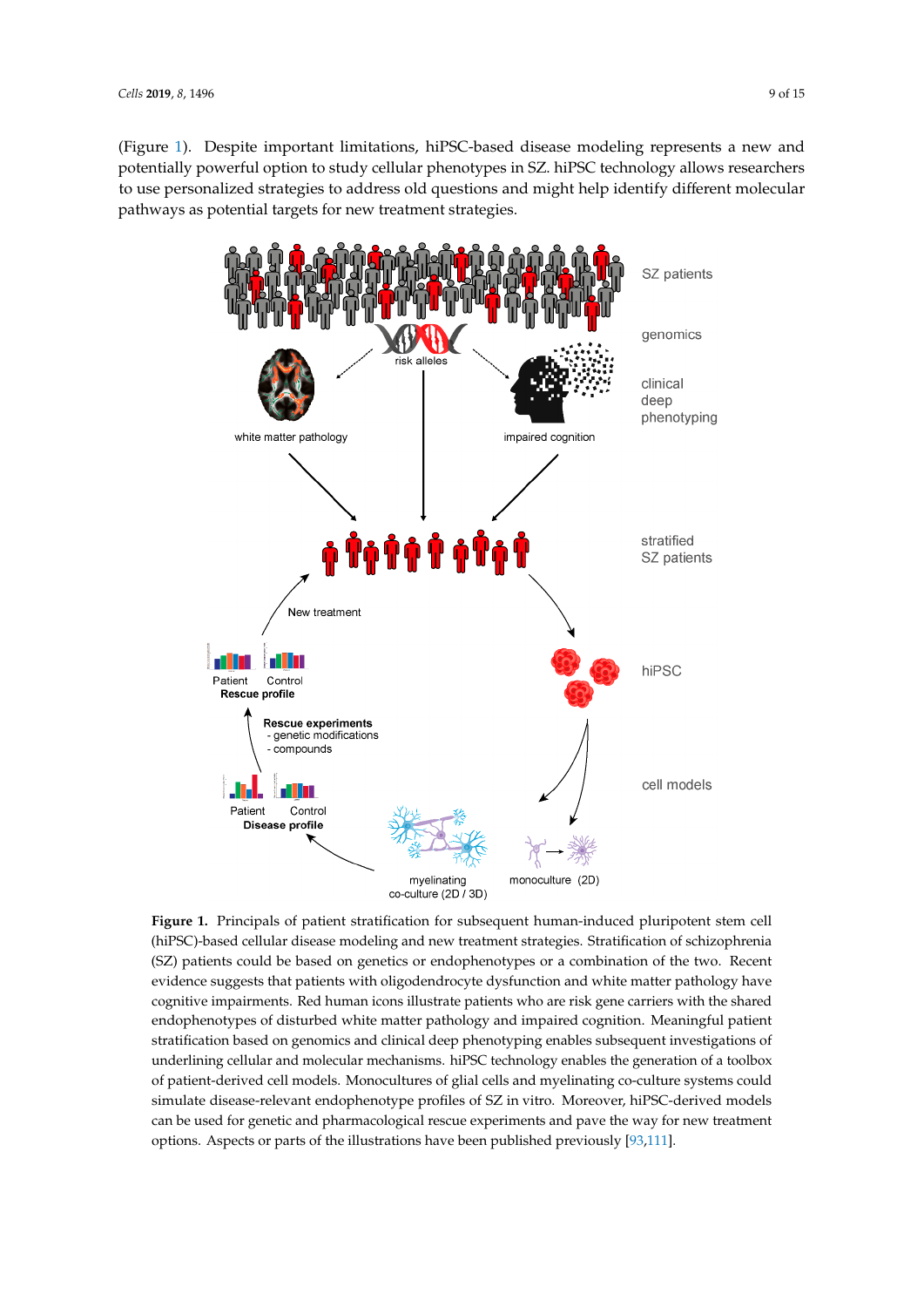(Figure [1\)](#page-8-0). Despite important limitations, hiPSC-based disease modeling represents a new and potentially powerful option to study cellular phenotypes in SZ. hiPSC technology allows researchers to use personalized strategies to address old questions and might help identify different molecular pathways as potential targets for new treatment strategies. technology allows researchers to use personalized strategies to address old questions and might help

<span id="page-8-0"></span>

of patient-derived cell models. Monocultures of glial cells and myelinating co-culture systems could **Figure 1.** Principals of patient stratification for subsequent human-induced pluripotent stem cell **Figure 1.** Principals of patient stratification for subsequent human-induced pluripotent stem cell (hiPSC)-based cellular disease modeling and new treatment strategies. Stratification of schizophrenia (hiPSC)-based cellular disease modeling and new treatment strategies. Stratification of schizophrenia (SZ) patients could be based on genetics or endophenotypes or a combination of the two. Recent (SZ) patients could be based on genetics or endophenotypes or a combination of the two. Recent evidence suggests that patients with oligodendrocyte dysfunction and white matter pathology have evidence suggests that patients with oligodendrocyte dysfunction and white matter pathology have cognitive impairments. Red human icons illustrate patients who are risk gene carriers with the shared endophenotypes of disturbed white matter pathology and impaired cognition. Meaningful patient stratification based on genomics and clinical deep phenotyping enables subsequent investigations of underlining cellular and molecular mechanisms. hiPSC technology enables the generation of a toolbox simulate disease-relevant endophenotype profiles of SZ in vitro. Moreover, hiPSC-derived models can be used for genetic and pharmacological rescue experiments and pave the way for new treatment options. Aspects or parts of the illustrations have been published previously [\[93,](#page-13-17)[111\]](#page-14-16).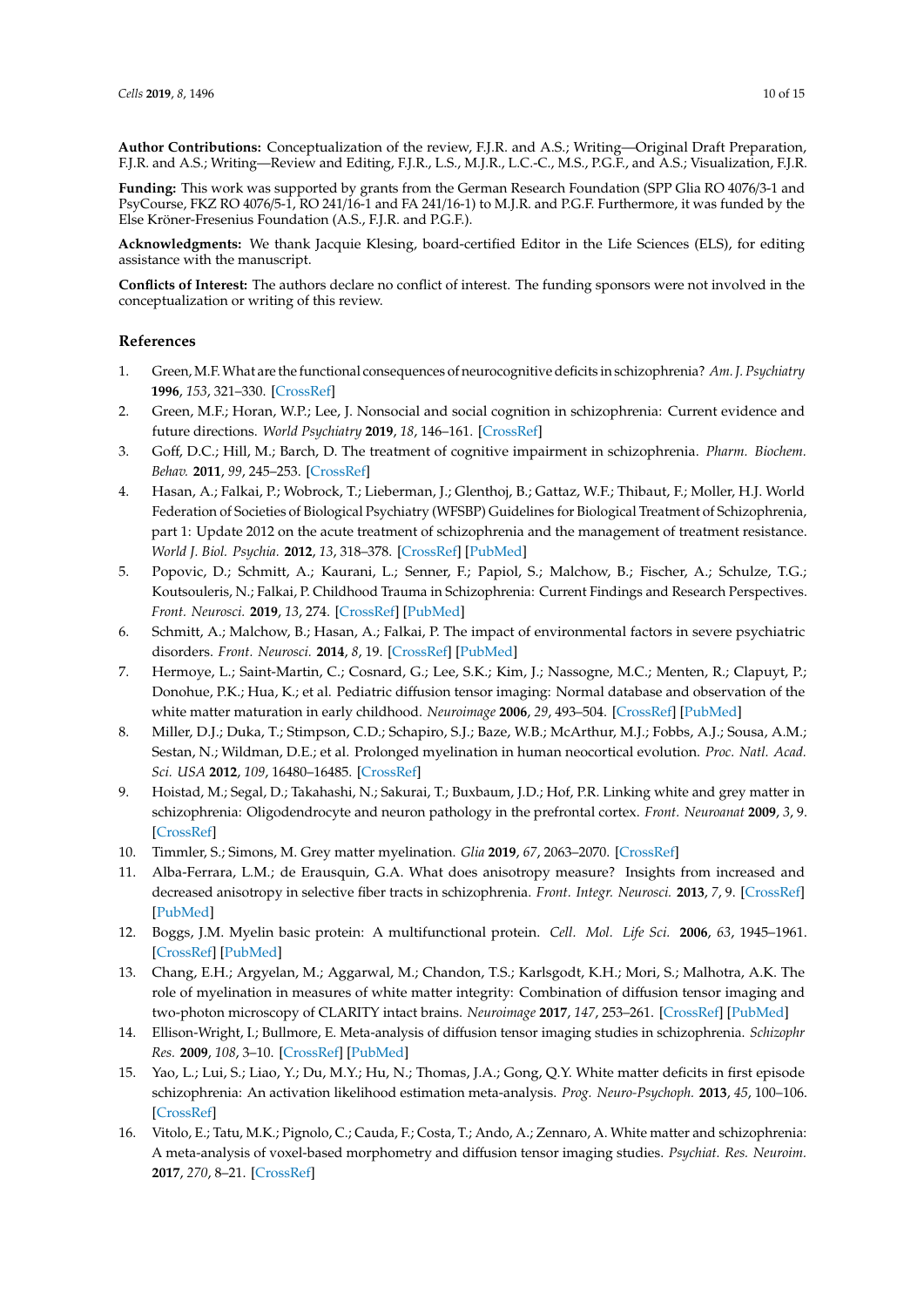**Author Contributions:** Conceptualization of the review, F.J.R. and A.S.; Writing—Original Draft Preparation, F.J.R. and A.S.; Writing—Review and Editing, F.J.R., L.S., M.J.R., L.C.-C., M.S., P.G.F., and A.S.; Visualization, F.J.R.

**Funding:** This work was supported by grants from the German Research Foundation (SPP Glia RO 4076/3-1 and PsyCourse, FKZ RO 4076/5-1, RO 241/16-1 and FA 241/16-1) to M.J.R. and P.G.F. Furthermore, it was funded by the Else Kröner-Fresenius Foundation (A.S., F.J.R. and P.G.F.).

**Acknowledgments:** We thank Jacquie Klesing, board-certified Editor in the Life Sciences (ELS), for editing assistance with the manuscript.

**Conflicts of Interest:** The authors declare no conflict of interest. The funding sponsors were not involved in the conceptualization or writing of this review.

## **References**

- <span id="page-9-0"></span>1. Green, M.F.What are the functional consequences of neurocognitive deficits in schizophrenia? *Am. J. Psychiatry* **1996**, *153*, 321–330. [\[CrossRef\]](http://dx.doi.org/10.1176/ajp.153.3.321)
- <span id="page-9-1"></span>2. Green, M.F.; Horan, W.P.; Lee, J. Nonsocial and social cognition in schizophrenia: Current evidence and future directions. *World Psychiatry* **2019**, *18*, 146–161. [\[CrossRef\]](http://dx.doi.org/10.1002/wps.20624)
- <span id="page-9-2"></span>3. Goff, D.C.; Hill, M.; Barch, D. The treatment of cognitive impairment in schizophrenia. *Pharm. Biochem. Behav.* **2011**, *99*, 245–253. [\[CrossRef\]](http://dx.doi.org/10.1016/j.pbb.2010.11.009)
- <span id="page-9-3"></span>4. Hasan, A.; Falkai, P.; Wobrock, T.; Lieberman, J.; Glenthoj, B.; Gattaz, W.F.; Thibaut, F.; Moller, H.J. World Federation of Societies of Biological Psychiatry (WFSBP) Guidelines for Biological Treatment of Schizophrenia, part 1: Update 2012 on the acute treatment of schizophrenia and the management of treatment resistance. *World J. Biol. Psychia.* **2012**, *13*, 318–378. [\[CrossRef\]](http://dx.doi.org/10.3109/15622975.2012.696143) [\[PubMed\]](http://www.ncbi.nlm.nih.gov/pubmed/22834451)
- <span id="page-9-4"></span>5. Popovic, D.; Schmitt, A.; Kaurani, L.; Senner, F.; Papiol, S.; Malchow, B.; Fischer, A.; Schulze, T.G.; Koutsouleris, N.; Falkai, P. Childhood Trauma in Schizophrenia: Current Findings and Research Perspectives. *Front. Neurosci.* **2019**, *13*, 274. [\[CrossRef\]](http://dx.doi.org/10.3389/fnins.2019.00274) [\[PubMed\]](http://www.ncbi.nlm.nih.gov/pubmed/30983960)
- <span id="page-9-5"></span>6. Schmitt, A.; Malchow, B.; Hasan, A.; Falkai, P. The impact of environmental factors in severe psychiatric disorders. *Front. Neurosci.* **2014**, *8*, 19. [\[CrossRef\]](http://dx.doi.org/10.3389/fnins.2014.00019) [\[PubMed\]](http://www.ncbi.nlm.nih.gov/pubmed/24574956)
- <span id="page-9-6"></span>7. Hermoye, L.; Saint-Martin, C.; Cosnard, G.; Lee, S.K.; Kim, J.; Nassogne, M.C.; Menten, R.; Clapuyt, P.; Donohue, P.K.; Hua, K.; et al. Pediatric diffusion tensor imaging: Normal database and observation of the white matter maturation in early childhood. *Neuroimage* **2006**, *29*, 493–504. [\[CrossRef\]](http://dx.doi.org/10.1016/j.neuroimage.2005.08.017) [\[PubMed\]](http://www.ncbi.nlm.nih.gov/pubmed/16194615)
- <span id="page-9-7"></span>8. Miller, D.J.; Duka, T.; Stimpson, C.D.; Schapiro, S.J.; Baze, W.B.; McArthur, M.J.; Fobbs, A.J.; Sousa, A.M.; Sestan, N.; Wildman, D.E.; et al. Prolonged myelination in human neocortical evolution. *Proc. Natl. Acad. Sci. USA* **2012**, *109*, 16480–16485. [\[CrossRef\]](http://dx.doi.org/10.1073/pnas.1117943109)
- <span id="page-9-8"></span>9. Hoistad, M.; Segal, D.; Takahashi, N.; Sakurai, T.; Buxbaum, J.D.; Hof, P.R. Linking white and grey matter in schizophrenia: Oligodendrocyte and neuron pathology in the prefrontal cortex. *Front. Neuroanat* **2009**, *3*, 9. [\[CrossRef\]](http://dx.doi.org/10.3389/neuro.05.009.2009)
- <span id="page-9-9"></span>10. Timmler, S.; Simons, M. Grey matter myelination. *Glia* **2019**, *67*, 2063–2070. [\[CrossRef\]](http://dx.doi.org/10.1002/glia.23614)
- <span id="page-9-10"></span>11. Alba-Ferrara, L.M.; de Erausquin, G.A. What does anisotropy measure? Insights from increased and decreased anisotropy in selective fiber tracts in schizophrenia. *Front. Integr. Neurosci.* **2013**, *7*, 9. [\[CrossRef\]](http://dx.doi.org/10.3389/fnint.2013.00009) [\[PubMed\]](http://www.ncbi.nlm.nih.gov/pubmed/23483798)
- <span id="page-9-11"></span>12. Boggs, J.M. Myelin basic protein: A multifunctional protein. *Cell. Mol. Life Sci.* **2006**, *63*, 1945–1961. [\[CrossRef\]](http://dx.doi.org/10.1007/s00018-006-6094-7) [\[PubMed\]](http://www.ncbi.nlm.nih.gov/pubmed/16794783)
- <span id="page-9-12"></span>13. Chang, E.H.; Argyelan, M.; Aggarwal, M.; Chandon, T.S.; Karlsgodt, K.H.; Mori, S.; Malhotra, A.K. The role of myelination in measures of white matter integrity: Combination of diffusion tensor imaging and two-photon microscopy of CLARITY intact brains. *Neuroimage* **2017**, *147*, 253–261. [\[CrossRef\]](http://dx.doi.org/10.1016/j.neuroimage.2016.11.068) [\[PubMed\]](http://www.ncbi.nlm.nih.gov/pubmed/27986605)
- <span id="page-9-13"></span>14. Ellison-Wright, I.; Bullmore, E. Meta-analysis of diffusion tensor imaging studies in schizophrenia. *Schizophr Res.* **2009**, *108*, 3–10. [\[CrossRef\]](http://dx.doi.org/10.1016/j.schres.2008.11.021) [\[PubMed\]](http://www.ncbi.nlm.nih.gov/pubmed/19128945)
- <span id="page-9-15"></span>15. Yao, L.; Lui, S.; Liao, Y.; Du, M.Y.; Hu, N.; Thomas, J.A.; Gong, Q.Y. White matter deficits in first episode schizophrenia: An activation likelihood estimation meta-analysis. *Prog. Neuro-Psychoph.* **2013**, *45*, 100–106. [\[CrossRef\]](http://dx.doi.org/10.1016/j.pnpbp.2013.04.019)
- <span id="page-9-14"></span>16. Vitolo, E.; Tatu, M.K.; Pignolo, C.; Cauda, F.; Costa, T.; Ando, A.; Zennaro, A. White matter and schizophrenia: A meta-analysis of voxel-based morphometry and diffusion tensor imaging studies. *Psychiat. Res. Neuroim.* **2017**, *270*, 8–21. [\[CrossRef\]](http://dx.doi.org/10.1016/j.pscychresns.2017.09.014)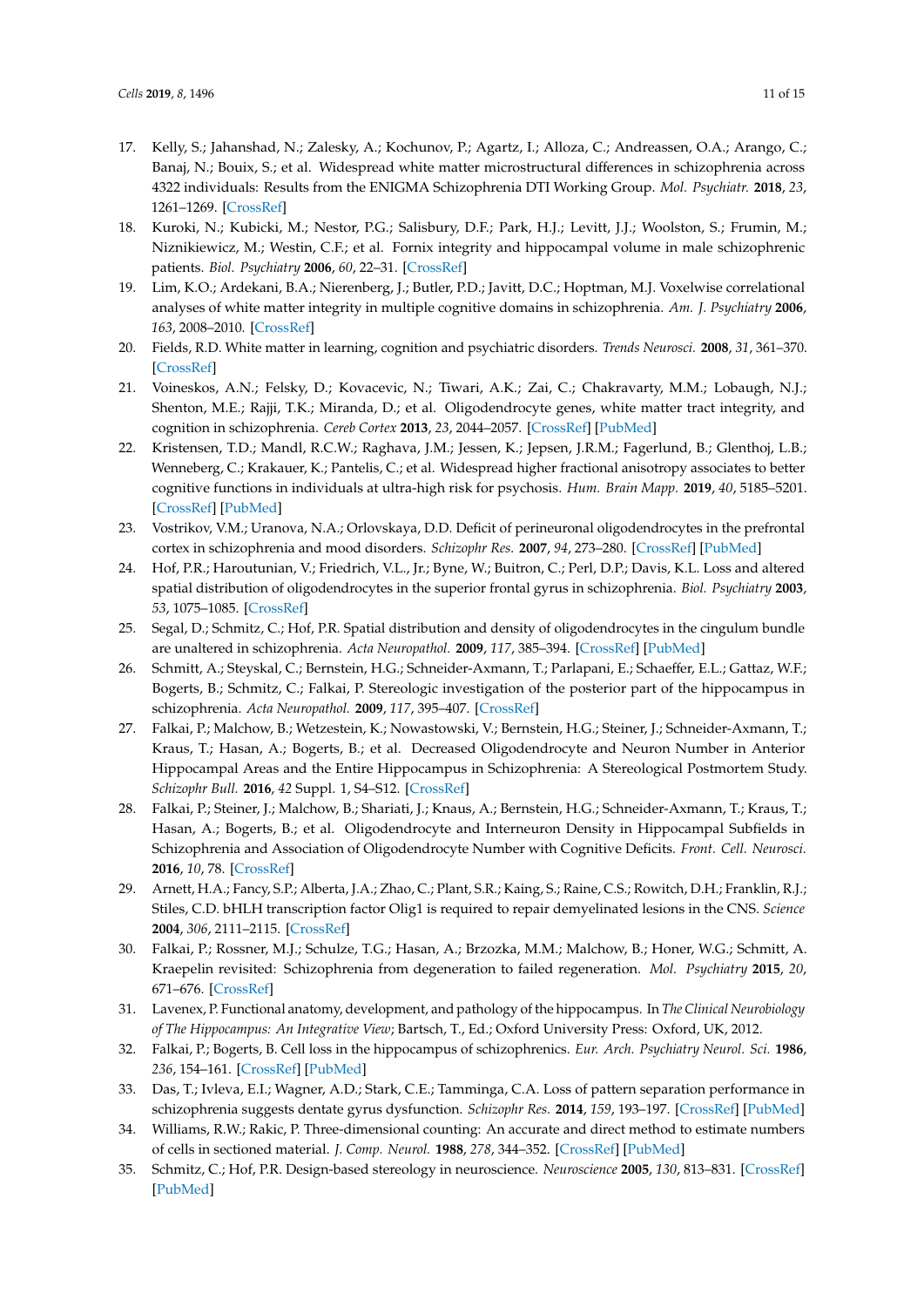- <span id="page-10-0"></span>17. Kelly, S.; Jahanshad, N.; Zalesky, A.; Kochunov, P.; Agartz, I.; Alloza, C.; Andreassen, O.A.; Arango, C.; Banaj, N.; Bouix, S.; et al. Widespread white matter microstructural differences in schizophrenia across 4322 individuals: Results from the ENIGMA Schizophrenia DTI Working Group. *Mol. Psychiatr.* **2018**, *23*, 1261–1269. [\[CrossRef\]](http://dx.doi.org/10.1038/mp.2017.170)
- <span id="page-10-1"></span>18. Kuroki, N.; Kubicki, M.; Nestor, P.G.; Salisbury, D.F.; Park, H.J.; Levitt, J.J.; Woolston, S.; Frumin, M.; Niznikiewicz, M.; Westin, C.F.; et al. Fornix integrity and hippocampal volume in male schizophrenic patients. *Biol. Psychiatry* **2006**, *60*, 22–31. [\[CrossRef\]](http://dx.doi.org/10.1016/j.biopsych.2005.09.021)
- <span id="page-10-2"></span>19. Lim, K.O.; Ardekani, B.A.; Nierenberg, J.; Butler, P.D.; Javitt, D.C.; Hoptman, M.J. Voxelwise correlational analyses of white matter integrity in multiple cognitive domains in schizophrenia. *Am. J. Psychiatry* **2006**, *163*, 2008–2010. [\[CrossRef\]](http://dx.doi.org/10.1176/ajp.2006.163.11.2008)
- <span id="page-10-3"></span>20. Fields, R.D. White matter in learning, cognition and psychiatric disorders. *Trends Neurosci.* **2008**, *31*, 361–370. [\[CrossRef\]](http://dx.doi.org/10.1016/j.tins.2008.04.001)
- <span id="page-10-4"></span>21. Voineskos, A.N.; Felsky, D.; Kovacevic, N.; Tiwari, A.K.; Zai, C.; Chakravarty, M.M.; Lobaugh, N.J.; Shenton, M.E.; Rajji, T.K.; Miranda, D.; et al. Oligodendrocyte genes, white matter tract integrity, and cognition in schizophrenia. *Cereb Cortex* **2013**, *23*, 2044–2057. [\[CrossRef\]](http://dx.doi.org/10.1093/cercor/bhs188) [\[PubMed\]](http://www.ncbi.nlm.nih.gov/pubmed/22772651)
- <span id="page-10-5"></span>22. Kristensen, T.D.; Mandl, R.C.W.; Raghava, J.M.; Jessen, K.; Jepsen, J.R.M.; Fagerlund, B.; Glenthoj, L.B.; Wenneberg, C.; Krakauer, K.; Pantelis, C.; et al. Widespread higher fractional anisotropy associates to better cognitive functions in individuals at ultra-high risk for psychosis. *Hum. Brain Mapp.* **2019**, *40*, 5185–5201. [\[CrossRef\]](http://dx.doi.org/10.1002/hbm.24765) [\[PubMed\]](http://www.ncbi.nlm.nih.gov/pubmed/31430023)
- <span id="page-10-6"></span>23. Vostrikov, V.M.; Uranova, N.A.; Orlovskaya, D.D. Deficit of perineuronal oligodendrocytes in the prefrontal cortex in schizophrenia and mood disorders. *Schizophr Res.* **2007**, *94*, 273–280. [\[CrossRef\]](http://dx.doi.org/10.1016/j.schres.2007.04.014) [\[PubMed\]](http://www.ncbi.nlm.nih.gov/pubmed/17566708)
- <span id="page-10-7"></span>24. Hof, P.R.; Haroutunian, V.; Friedrich, V.L., Jr.; Byne, W.; Buitron, C.; Perl, D.P.; Davis, K.L. Loss and altered spatial distribution of oligodendrocytes in the superior frontal gyrus in schizophrenia. *Biol. Psychiatry* **2003**, *53*, 1075–1085. [\[CrossRef\]](http://dx.doi.org/10.1016/S0006-3223(03)00237-3)
- <span id="page-10-8"></span>25. Segal, D.; Schmitz, C.; Hof, P.R. Spatial distribution and density of oligodendrocytes in the cingulum bundle are unaltered in schizophrenia. *Acta Neuropathol.* **2009**, *117*, 385–394. [\[CrossRef\]](http://dx.doi.org/10.1007/s00401-008-0379-x) [\[PubMed\]](http://www.ncbi.nlm.nih.gov/pubmed/18438678)
- <span id="page-10-9"></span>26. Schmitt, A.; Steyskal, C.; Bernstein, H.G.; Schneider-Axmann, T.; Parlapani, E.; Schaeffer, E.L.; Gattaz, W.F.; Bogerts, B.; Schmitz, C.; Falkai, P. Stereologic investigation of the posterior part of the hippocampus in schizophrenia. *Acta Neuropathol.* **2009**, *117*, 395–407. [\[CrossRef\]](http://dx.doi.org/10.1007/s00401-008-0430-y)
- <span id="page-10-10"></span>27. Falkai, P.; Malchow, B.; Wetzestein, K.; Nowastowski, V.; Bernstein, H.G.; Steiner, J.; Schneider-Axmann, T.; Kraus, T.; Hasan, A.; Bogerts, B.; et al. Decreased Oligodendrocyte and Neuron Number in Anterior Hippocampal Areas and the Entire Hippocampus in Schizophrenia: A Stereological Postmortem Study. *Schizophr Bull.* **2016**, *42* Suppl. 1, S4–S12. [\[CrossRef\]](http://dx.doi.org/10.1093/schbul/sbv157)
- <span id="page-10-11"></span>28. Falkai, P.; Steiner, J.; Malchow, B.; Shariati, J.; Knaus, A.; Bernstein, H.G.; Schneider-Axmann, T.; Kraus, T.; Hasan, A.; Bogerts, B.; et al. Oligodendrocyte and Interneuron Density in Hippocampal Subfields in Schizophrenia and Association of Oligodendrocyte Number with Cognitive Deficits. *Front. Cell. Neurosci.* **2016**, *10*, 78. [\[CrossRef\]](http://dx.doi.org/10.3389/fncel.2016.00078)
- <span id="page-10-12"></span>29. Arnett, H.A.; Fancy, S.P.; Alberta, J.A.; Zhao, C.; Plant, S.R.; Kaing, S.; Raine, C.S.; Rowitch, D.H.; Franklin, R.J.; Stiles, C.D. bHLH transcription factor Olig1 is required to repair demyelinated lesions in the CNS. *Science* **2004**, *306*, 2111–2115. [\[CrossRef\]](http://dx.doi.org/10.1126/science.1103709)
- <span id="page-10-13"></span>30. Falkai, P.; Rossner, M.J.; Schulze, T.G.; Hasan, A.; Brzozka, M.M.; Malchow, B.; Honer, W.G.; Schmitt, A. Kraepelin revisited: Schizophrenia from degeneration to failed regeneration. *Mol. Psychiatry* **2015**, *20*, 671–676. [\[CrossRef\]](http://dx.doi.org/10.1038/mp.2015.35)
- <span id="page-10-14"></span>31. Lavenex, P. Functional anatomy, development, and pathology of the hippocampus. In *The Clinical Neurobiology of The Hippocampus: An Integrative View*; Bartsch, T., Ed.; Oxford University Press: Oxford, UK, 2012.
- <span id="page-10-15"></span>32. Falkai, P.; Bogerts, B. Cell loss in the hippocampus of schizophrenics. *Eur. Arch. Psychiatry Neurol. Sci.* **1986**, *236*, 154–161. [\[CrossRef\]](http://dx.doi.org/10.1007/BF00380943) [\[PubMed\]](http://www.ncbi.nlm.nih.gov/pubmed/3803399)
- <span id="page-10-16"></span>33. Das, T.; Ivleva, E.I.; Wagner, A.D.; Stark, C.E.; Tamminga, C.A. Loss of pattern separation performance in schizophrenia suggests dentate gyrus dysfunction. *Schizophr Res.* **2014**, *159*, 193–197. [\[CrossRef\]](http://dx.doi.org/10.1016/j.schres.2014.05.006) [\[PubMed\]](http://www.ncbi.nlm.nih.gov/pubmed/25176349)
- <span id="page-10-17"></span>34. Williams, R.W.; Rakic, P. Three-dimensional counting: An accurate and direct method to estimate numbers of cells in sectioned material. *J. Comp. Neurol.* **1988**, *278*, 344–352. [\[CrossRef\]](http://dx.doi.org/10.1002/cne.902780305) [\[PubMed\]](http://www.ncbi.nlm.nih.gov/pubmed/3216047)
- <span id="page-10-18"></span>35. Schmitz, C.; Hof, P.R. Design-based stereology in neuroscience. *Neuroscience* **2005**, *130*, 813–831. [\[CrossRef\]](http://dx.doi.org/10.1016/j.neuroscience.2004.08.050) [\[PubMed\]](http://www.ncbi.nlm.nih.gov/pubmed/15652981)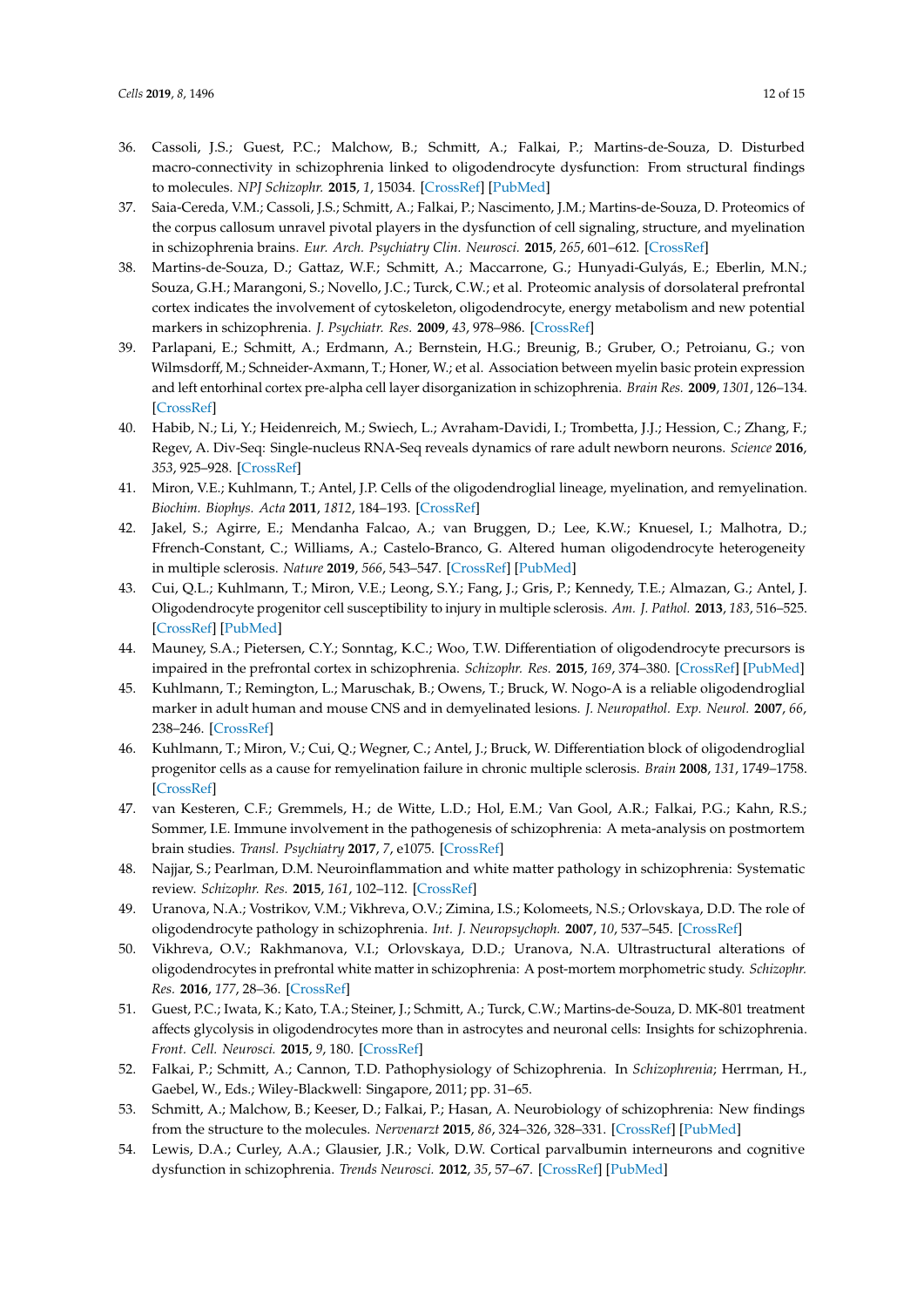- <span id="page-11-0"></span>36. Cassoli, J.S.; Guest, P.C.; Malchow, B.; Schmitt, A.; Falkai, P.; Martins-de-Souza, D. Disturbed macro-connectivity in schizophrenia linked to oligodendrocyte dysfunction: From structural findings to molecules. *NPJ Schizophr.* **2015**, *1*, 15034. [\[CrossRef\]](http://dx.doi.org/10.1038/npjschz.2015.34) [\[PubMed\]](http://www.ncbi.nlm.nih.gov/pubmed/27336040)
- <span id="page-11-1"></span>37. Saia-Cereda, V.M.; Cassoli, J.S.; Schmitt, A.; Falkai, P.; Nascimento, J.M.; Martins-de-Souza, D. Proteomics of the corpus callosum unravel pivotal players in the dysfunction of cell signaling, structure, and myelination in schizophrenia brains. *Eur. Arch. Psychiatry Clin. Neurosci.* **2015**, *265*, 601–612. [\[CrossRef\]](http://dx.doi.org/10.1007/s00406-015-0621-1)
- <span id="page-11-2"></span>38. Martins-de-Souza, D.; Gattaz, W.F.; Schmitt, A.; Maccarrone, G.; Hunyadi-Gulyás, E.; Eberlin, M.N.; Souza, G.H.; Marangoni, S.; Novello, J.C.; Turck, C.W.; et al. Proteomic analysis of dorsolateral prefrontal cortex indicates the involvement of cytoskeleton, oligodendrocyte, energy metabolism and new potential markers in schizophrenia. *J. Psychiatr. Res.* **2009**, *43*, 978–986. [\[CrossRef\]](http://dx.doi.org/10.1016/j.jpsychires.2008.11.006)
- <span id="page-11-3"></span>39. Parlapani, E.; Schmitt, A.; Erdmann, A.; Bernstein, H.G.; Breunig, B.; Gruber, O.; Petroianu, G.; von Wilmsdorff, M.; Schneider-Axmann, T.; Honer, W.; et al. Association between myelin basic protein expression and left entorhinal cortex pre-alpha cell layer disorganization in schizophrenia. *Brain Res.* **2009**, *1301*, 126–134. [\[CrossRef\]](http://dx.doi.org/10.1016/j.brainres.2009.09.007)
- <span id="page-11-4"></span>40. Habib, N.; Li, Y.; Heidenreich, M.; Swiech, L.; Avraham-Davidi, I.; Trombetta, J.J.; Hession, C.; Zhang, F.; Regev, A. Div-Seq: Single-nucleus RNA-Seq reveals dynamics of rare adult newborn neurons. *Science* **2016**, *353*, 925–928. [\[CrossRef\]](http://dx.doi.org/10.1126/science.aad7038)
- <span id="page-11-5"></span>41. Miron, V.E.; Kuhlmann, T.; Antel, J.P. Cells of the oligodendroglial lineage, myelination, and remyelination. *Biochim. Biophys. Acta* **2011**, *1812*, 184–193. [\[CrossRef\]](http://dx.doi.org/10.1016/j.bbadis.2010.09.010)
- <span id="page-11-6"></span>42. Jakel, S.; Agirre, E.; Mendanha Falcao, A.; van Bruggen, D.; Lee, K.W.; Knuesel, I.; Malhotra, D.; Ffrench-Constant, C.; Williams, A.; Castelo-Branco, G. Altered human oligodendrocyte heterogeneity in multiple sclerosis. *Nature* **2019**, *566*, 543–547. [\[CrossRef\]](http://dx.doi.org/10.1038/s41586-019-0903-2) [\[PubMed\]](http://www.ncbi.nlm.nih.gov/pubmed/30747918)
- <span id="page-11-7"></span>43. Cui, Q.L.; Kuhlmann, T.; Miron, V.E.; Leong, S.Y.; Fang, J.; Gris, P.; Kennedy, T.E.; Almazan, G.; Antel, J. Oligodendrocyte progenitor cell susceptibility to injury in multiple sclerosis. *Am. J. Pathol.* **2013**, *183*, 516–525. [\[CrossRef\]](http://dx.doi.org/10.1016/j.ajpath.2013.04.016) [\[PubMed\]](http://www.ncbi.nlm.nih.gov/pubmed/23746653)
- <span id="page-11-8"></span>44. Mauney, S.A.; Pietersen, C.Y.; Sonntag, K.C.; Woo, T.W. Differentiation of oligodendrocyte precursors is impaired in the prefrontal cortex in schizophrenia. *Schizophr. Res.* **2015**, *169*, 374–380. [\[CrossRef\]](http://dx.doi.org/10.1016/j.schres.2015.10.042) [\[PubMed\]](http://www.ncbi.nlm.nih.gov/pubmed/26585218)
- <span id="page-11-9"></span>45. Kuhlmann, T.; Remington, L.; Maruschak, B.; Owens, T.; Bruck, W. Nogo-A is a reliable oligodendroglial marker in adult human and mouse CNS and in demyelinated lesions. *J. Neuropathol. Exp. Neurol.* **2007**, *66*, 238–246. [\[CrossRef\]](http://dx.doi.org/10.1097/01.jnen.0000248559.83573.71)
- <span id="page-11-10"></span>46. Kuhlmann, T.; Miron, V.; Cui, Q.; Wegner, C.; Antel, J.; Bruck, W. Differentiation block of oligodendroglial progenitor cells as a cause for remyelination failure in chronic multiple sclerosis. *Brain* **2008**, *131*, 1749–1758. [\[CrossRef\]](http://dx.doi.org/10.1093/brain/awn096)
- <span id="page-11-11"></span>47. van Kesteren, C.F.; Gremmels, H.; de Witte, L.D.; Hol, E.M.; Van Gool, A.R.; Falkai, P.G.; Kahn, R.S.; Sommer, I.E. Immune involvement in the pathogenesis of schizophrenia: A meta-analysis on postmortem brain studies. *Transl. Psychiatry* **2017**, *7*, e1075. [\[CrossRef\]](http://dx.doi.org/10.1038/tp.2017.4)
- <span id="page-11-12"></span>48. Najjar, S.; Pearlman, D.M. Neuroinflammation and white matter pathology in schizophrenia: Systematic review. *Schizophr. Res.* **2015**, *161*, 102–112. [\[CrossRef\]](http://dx.doi.org/10.1016/j.schres.2014.04.041)
- <span id="page-11-13"></span>49. Uranova, N.A.; Vostrikov, V.M.; Vikhreva, O.V.; Zimina, I.S.; Kolomeets, N.S.; Orlovskaya, D.D. The role of oligodendrocyte pathology in schizophrenia. *Int. J. Neuropsychoph.* **2007**, *10*, 537–545. [\[CrossRef\]](http://dx.doi.org/10.1017/S1461145707007626)
- <span id="page-11-14"></span>50. Vikhreva, O.V.; Rakhmanova, V.I.; Orlovskaya, D.D.; Uranova, N.A. Ultrastructural alterations of oligodendrocytes in prefrontal white matter in schizophrenia: A post-mortem morphometric study. *Schizophr. Res.* **2016**, *177*, 28–36. [\[CrossRef\]](http://dx.doi.org/10.1016/j.schres.2016.04.023)
- <span id="page-11-15"></span>51. Guest, P.C.; Iwata, K.; Kato, T.A.; Steiner, J.; Schmitt, A.; Turck, C.W.; Martins-de-Souza, D. MK-801 treatment affects glycolysis in oligodendrocytes more than in astrocytes and neuronal cells: Insights for schizophrenia. *Front. Cell. Neurosci.* **2015**, *9*, 180. [\[CrossRef\]](http://dx.doi.org/10.3389/fncel.2015.00180)
- <span id="page-11-16"></span>52. Falkai, P.; Schmitt, A.; Cannon, T.D. Pathophysiology of Schizophrenia. In *Schizophrenia*; Herrman, H., Gaebel, W., Eds.; Wiley-Blackwell: Singapore, 2011; pp. 31–65.
- <span id="page-11-17"></span>53. Schmitt, A.; Malchow, B.; Keeser, D.; Falkai, P.; Hasan, A. Neurobiology of schizophrenia: New findings from the structure to the molecules. *Nervenarzt* **2015**, *86*, 324–326, 328–331. [\[CrossRef\]](http://dx.doi.org/10.1007/s00115-014-4115-6) [\[PubMed\]](http://www.ncbi.nlm.nih.gov/pubmed/25123366)
- <span id="page-11-18"></span>54. Lewis, D.A.; Curley, A.A.; Glausier, J.R.; Volk, D.W. Cortical parvalbumin interneurons and cognitive dysfunction in schizophrenia. *Trends Neurosci.* **2012**, *35*, 57–67. [\[CrossRef\]](http://dx.doi.org/10.1016/j.tins.2011.10.004) [\[PubMed\]](http://www.ncbi.nlm.nih.gov/pubmed/22154068)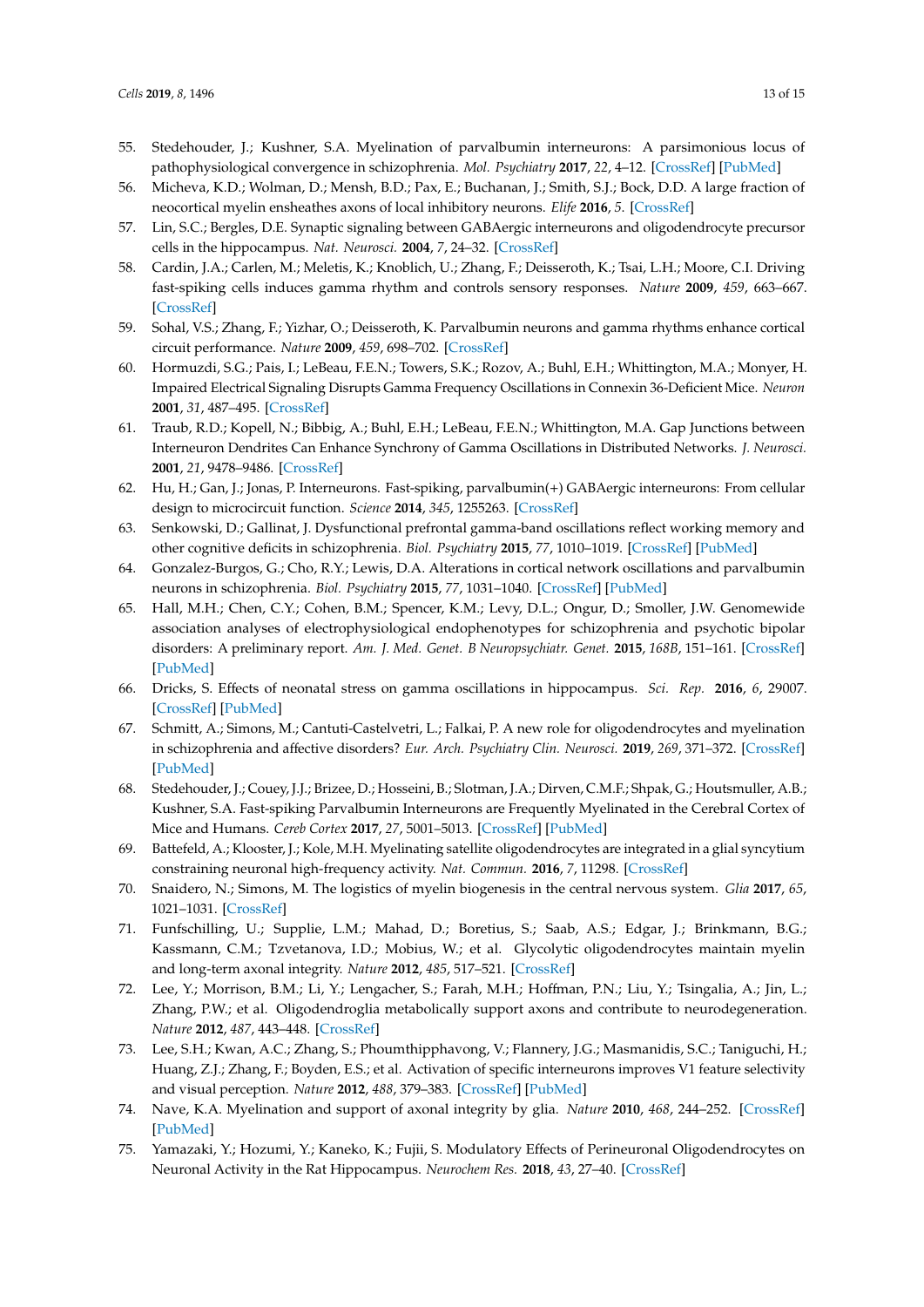- <span id="page-12-0"></span>55. Stedehouder, J.; Kushner, S.A. Myelination of parvalbumin interneurons: A parsimonious locus of pathophysiological convergence in schizophrenia. *Mol. Psychiatry* **2017**, *22*, 4–12. [\[CrossRef\]](http://dx.doi.org/10.1038/mp.2016.147) [\[PubMed\]](http://www.ncbi.nlm.nih.gov/pubmed/27646261)
- <span id="page-12-1"></span>56. Micheva, K.D.; Wolman, D.; Mensh, B.D.; Pax, E.; Buchanan, J.; Smith, S.J.; Bock, D.D. A large fraction of neocortical myelin ensheathes axons of local inhibitory neurons. *Elife* **2016**, *5*. [\[CrossRef\]](http://dx.doi.org/10.7554/eLife.15784)
- <span id="page-12-2"></span>57. Lin, S.C.; Bergles, D.E. Synaptic signaling between GABAergic interneurons and oligodendrocyte precursor cells in the hippocampus. *Nat. Neurosci.* **2004**, *7*, 24–32. [\[CrossRef\]](http://dx.doi.org/10.1038/nn1162)
- <span id="page-12-3"></span>58. Cardin, J.A.; Carlen, M.; Meletis, K.; Knoblich, U.; Zhang, F.; Deisseroth, K.; Tsai, L.H.; Moore, C.I. Driving fast-spiking cells induces gamma rhythm and controls sensory responses. *Nature* **2009**, *459*, 663–667. [\[CrossRef\]](http://dx.doi.org/10.1038/nature08002)
- <span id="page-12-4"></span>59. Sohal, V.S.; Zhang, F.; Yizhar, O.; Deisseroth, K. Parvalbumin neurons and gamma rhythms enhance cortical circuit performance. *Nature* **2009**, *459*, 698–702. [\[CrossRef\]](http://dx.doi.org/10.1038/nature07991)
- <span id="page-12-5"></span>60. Hormuzdi, S.G.; Pais, I.; LeBeau, F.E.N.; Towers, S.K.; Rozov, A.; Buhl, E.H.; Whittington, M.A.; Monyer, H. Impaired Electrical Signaling Disrupts Gamma Frequency Oscillations in Connexin 36-Deficient Mice. *Neuron* **2001**, *31*, 487–495. [\[CrossRef\]](http://dx.doi.org/10.1016/S0896-6273(01)00387-7)
- <span id="page-12-6"></span>61. Traub, R.D.; Kopell, N.; Bibbig, A.; Buhl, E.H.; LeBeau, F.E.N.; Whittington, M.A. Gap Junctions between Interneuron Dendrites Can Enhance Synchrony of Gamma Oscillations in Distributed Networks. *J. Neurosci.* **2001**, *21*, 9478–9486. [\[CrossRef\]](http://dx.doi.org/10.1523/JNEUROSCI.21-23-09478.2001)
- <span id="page-12-7"></span>62. Hu, H.; Gan, J.; Jonas, P. Interneurons. Fast-spiking, parvalbumin(+) GABAergic interneurons: From cellular design to microcircuit function. *Science* **2014**, *345*, 1255263. [\[CrossRef\]](http://dx.doi.org/10.1126/science.1255263)
- <span id="page-12-8"></span>63. Senkowski, D.; Gallinat, J. Dysfunctional prefrontal gamma-band oscillations reflect working memory and other cognitive deficits in schizophrenia. *Biol. Psychiatry* **2015**, *77*, 1010–1019. [\[CrossRef\]](http://dx.doi.org/10.1016/j.biopsych.2015.02.034) [\[PubMed\]](http://www.ncbi.nlm.nih.gov/pubmed/25847179)
- 64. Gonzalez-Burgos, G.; Cho, R.Y.; Lewis, D.A. Alterations in cortical network oscillations and parvalbumin neurons in schizophrenia. *Biol. Psychiatry* **2015**, *77*, 1031–1040. [\[CrossRef\]](http://dx.doi.org/10.1016/j.biopsych.2015.03.010) [\[PubMed\]](http://www.ncbi.nlm.nih.gov/pubmed/25863358)
- <span id="page-12-9"></span>65. Hall, M.H.; Chen, C.Y.; Cohen, B.M.; Spencer, K.M.; Levy, D.L.; Ongur, D.; Smoller, J.W. Genomewide association analyses of electrophysiological endophenotypes for schizophrenia and psychotic bipolar disorders: A preliminary report. *Am. J. Med. Genet. B Neuropsychiatr. Genet.* **2015**, *168B*, 151–161. [\[CrossRef\]](http://dx.doi.org/10.1002/ajmg.b.32298) [\[PubMed\]](http://www.ncbi.nlm.nih.gov/pubmed/25740047)
- <span id="page-12-10"></span>66. Dricks, S. Effects of neonatal stress on gamma oscillations in hippocampus. *Sci. Rep.* **2016**, *6*, 29007. [\[CrossRef\]](http://dx.doi.org/10.1038/srep29007) [\[PubMed\]](http://www.ncbi.nlm.nih.gov/pubmed/27363787)
- <span id="page-12-11"></span>67. Schmitt, A.; Simons, M.; Cantuti-Castelvetri, L.; Falkai, P. A new role for oligodendrocytes and myelination in schizophrenia and affective disorders? *Eur. Arch. Psychiatry Clin. Neurosci.* **2019**, *269*, 371–372. [\[CrossRef\]](http://dx.doi.org/10.1007/s00406-019-01019-8) [\[PubMed\]](http://www.ncbi.nlm.nih.gov/pubmed/31076838)
- <span id="page-12-12"></span>68. Stedehouder, J.; Couey, J.J.; Brizee, D.; Hosseini, B.; Slotman, J.A.; Dirven, C.M.F.; Shpak, G.; Houtsmuller, A.B.; Kushner, S.A. Fast-spiking Parvalbumin Interneurons are Frequently Myelinated in the Cerebral Cortex of Mice and Humans. *Cereb Cortex* **2017**, *27*, 5001–5013. [\[CrossRef\]](http://dx.doi.org/10.1093/cercor/bhx203) [\[PubMed\]](http://www.ncbi.nlm.nih.gov/pubmed/28922832)
- <span id="page-12-13"></span>69. Battefeld, A.; Klooster, J.; Kole, M.H. Myelinating satellite oligodendrocytes are integrated in a glial syncytium constraining neuronal high-frequency activity. *Nat. Commun.* **2016**, *7*, 11298. [\[CrossRef\]](http://dx.doi.org/10.1038/ncomms11298)
- <span id="page-12-14"></span>70. Snaidero, N.; Simons, M. The logistics of myelin biogenesis in the central nervous system. *Glia* **2017**, *65*, 1021–1031. [\[CrossRef\]](http://dx.doi.org/10.1002/glia.23116)
- <span id="page-12-15"></span>71. Funfschilling, U.; Supplie, L.M.; Mahad, D.; Boretius, S.; Saab, A.S.; Edgar, J.; Brinkmann, B.G.; Kassmann, C.M.; Tzvetanova, I.D.; Mobius, W.; et al. Glycolytic oligodendrocytes maintain myelin and long-term axonal integrity. *Nature* **2012**, *485*, 517–521. [\[CrossRef\]](http://dx.doi.org/10.1038/nature11007)
- <span id="page-12-16"></span>72. Lee, Y.; Morrison, B.M.; Li, Y.; Lengacher, S.; Farah, M.H.; Hoffman, P.N.; Liu, Y.; Tsingalia, A.; Jin, L.; Zhang, P.W.; et al. Oligodendroglia metabolically support axons and contribute to neurodegeneration. *Nature* **2012**, *487*, 443–448. [\[CrossRef\]](http://dx.doi.org/10.1038/nature11314)
- <span id="page-12-17"></span>73. Lee, S.H.; Kwan, A.C.; Zhang, S.; Phoumthipphavong, V.; Flannery, J.G.; Masmanidis, S.C.; Taniguchi, H.; Huang, Z.J.; Zhang, F.; Boyden, E.S.; et al. Activation of specific interneurons improves V1 feature selectivity and visual perception. *Nature* **2012**, *488*, 379–383. [\[CrossRef\]](http://dx.doi.org/10.1038/nature11312) [\[PubMed\]](http://www.ncbi.nlm.nih.gov/pubmed/22878719)
- <span id="page-12-18"></span>74. Nave, K.A. Myelination and support of axonal integrity by glia. *Nature* **2010**, *468*, 244–252. [\[CrossRef\]](http://dx.doi.org/10.1038/nature09614) [\[PubMed\]](http://www.ncbi.nlm.nih.gov/pubmed/21068833)
- <span id="page-12-19"></span>75. Yamazaki, Y.; Hozumi, Y.; Kaneko, K.; Fujii, S. Modulatory Effects of Perineuronal Oligodendrocytes on Neuronal Activity in the Rat Hippocampus. *Neurochem Res.* **2018**, *43*, 27–40. [\[CrossRef\]](http://dx.doi.org/10.1007/s11064-017-2278-9)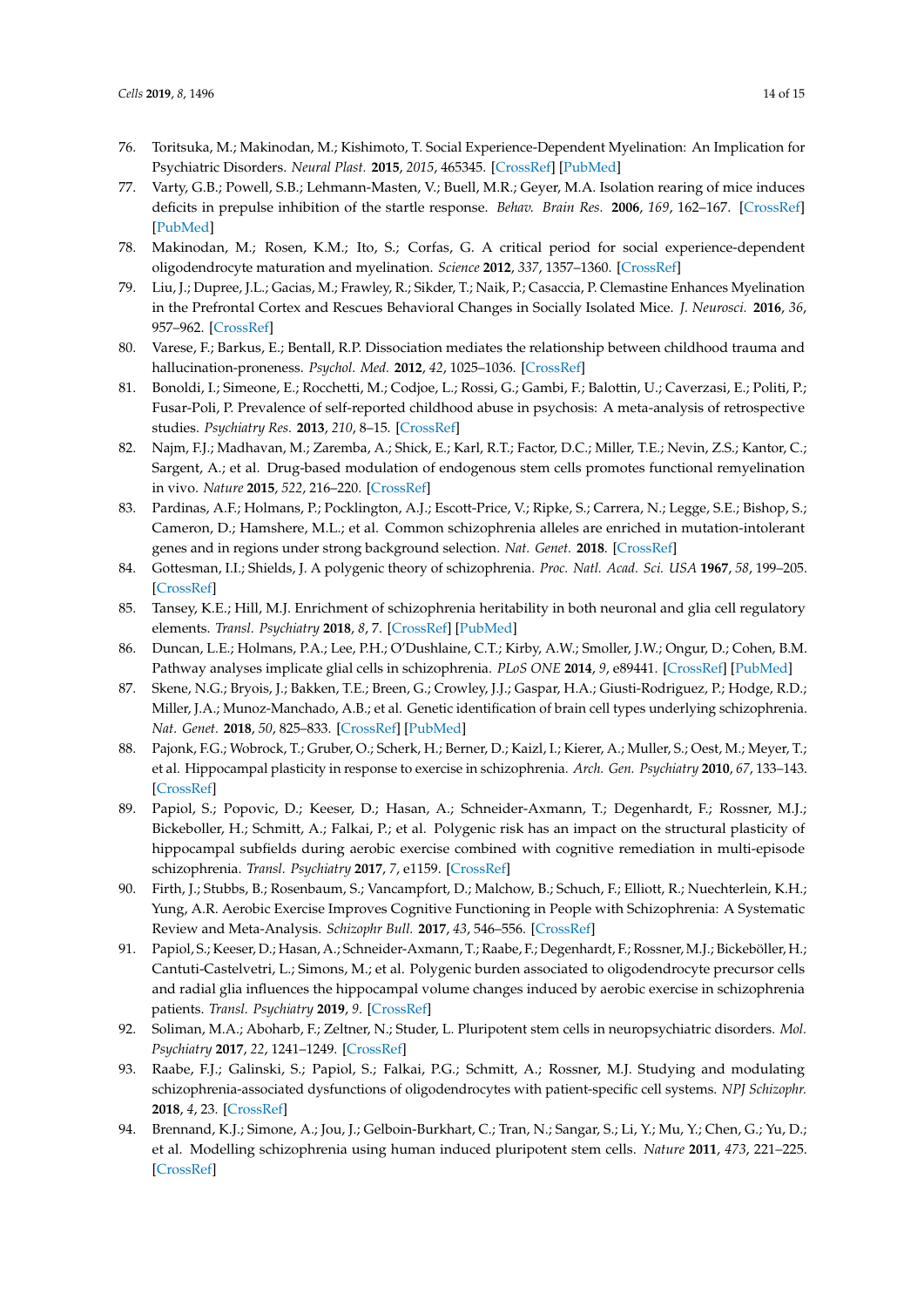- <span id="page-13-0"></span>76. Toritsuka, M.; Makinodan, M.; Kishimoto, T. Social Experience-Dependent Myelination: An Implication for Psychiatric Disorders. *Neural Plast.* **2015**, *2015*, 465345. [\[CrossRef\]](http://dx.doi.org/10.1155/2015/465345) [\[PubMed\]](http://www.ncbi.nlm.nih.gov/pubmed/26078885)
- <span id="page-13-1"></span>77. Varty, G.B.; Powell, S.B.; Lehmann-Masten, V.; Buell, M.R.; Geyer, M.A. Isolation rearing of mice induces deficits in prepulse inhibition of the startle response. *Behav. Brain Res.* **2006**, *169*, 162–167. [\[CrossRef\]](http://dx.doi.org/10.1016/j.bbr.2005.11.025) [\[PubMed\]](http://www.ncbi.nlm.nih.gov/pubmed/16406103)
- <span id="page-13-2"></span>78. Makinodan, M.; Rosen, K.M.; Ito, S.; Corfas, G. A critical period for social experience-dependent oligodendrocyte maturation and myelination. *Science* **2012**, *337*, 1357–1360. [\[CrossRef\]](http://dx.doi.org/10.1126/science.1220845)
- <span id="page-13-3"></span>79. Liu, J.; Dupree, J.L.; Gacias, M.; Frawley, R.; Sikder, T.; Naik, P.; Casaccia, P. Clemastine Enhances Myelination in the Prefrontal Cortex and Rescues Behavioral Changes in Socially Isolated Mice. *J. Neurosci.* **2016**, *36*, 957–962. [\[CrossRef\]](http://dx.doi.org/10.1523/JNEUROSCI.3608-15.2016)
- <span id="page-13-4"></span>80. Varese, F.; Barkus, E.; Bentall, R.P. Dissociation mediates the relationship between childhood trauma and hallucination-proneness. *Psychol. Med.* **2012**, *42*, 1025–1036. [\[CrossRef\]](http://dx.doi.org/10.1017/S0033291711001826)
- <span id="page-13-5"></span>81. Bonoldi, I.; Simeone, E.; Rocchetti, M.; Codjoe, L.; Rossi, G.; Gambi, F.; Balottin, U.; Caverzasi, E.; Politi, P.; Fusar-Poli, P. Prevalence of self-reported childhood abuse in psychosis: A meta-analysis of retrospective studies. *Psychiatry Res.* **2013**, *210*, 8–15. [\[CrossRef\]](http://dx.doi.org/10.1016/j.psychres.2013.05.003)
- <span id="page-13-6"></span>82. Najm, F.J.; Madhavan, M.; Zaremba, A.; Shick, E.; Karl, R.T.; Factor, D.C.; Miller, T.E.; Nevin, Z.S.; Kantor, C.; Sargent, A.; et al. Drug-based modulation of endogenous stem cells promotes functional remyelination in vivo. *Nature* **2015**, *522*, 216–220. [\[CrossRef\]](http://dx.doi.org/10.1038/nature14335)
- <span id="page-13-7"></span>83. Pardinas, A.F.; Holmans, P.; Pocklington, A.J.; Escott-Price, V.; Ripke, S.; Carrera, N.; Legge, S.E.; Bishop, S.; Cameron, D.; Hamshere, M.L.; et al. Common schizophrenia alleles are enriched in mutation-intolerant genes and in regions under strong background selection. *Nat. Genet.* **2018**. [\[CrossRef\]](http://dx.doi.org/10.1038/s41588-018-0059-2)
- <span id="page-13-8"></span>84. Gottesman, I.I.; Shields, J. A polygenic theory of schizophrenia. *Proc. Natl. Acad. Sci. USA* **1967**, *58*, 199–205. [\[CrossRef\]](http://dx.doi.org/10.1073/pnas.58.1.199)
- <span id="page-13-9"></span>85. Tansey, K.E.; Hill, M.J. Enrichment of schizophrenia heritability in both neuronal and glia cell regulatory elements. *Transl. Psychiatry* **2018**, *8*, 7. [\[CrossRef\]](http://dx.doi.org/10.1038/s41398-017-0053-y) [\[PubMed\]](http://www.ncbi.nlm.nih.gov/pubmed/29317610)
- <span id="page-13-11"></span>86. Duncan, L.E.; Holmans, P.A.; Lee, P.H.; O'Dushlaine, C.T.; Kirby, A.W.; Smoller, J.W.; Ongur, D.; Cohen, B.M. Pathway analyses implicate glial cells in schizophrenia. *PLoS ONE* **2014**, *9*, e89441. [\[CrossRef\]](http://dx.doi.org/10.1371/journal.pone.0089441) [\[PubMed\]](http://www.ncbi.nlm.nih.gov/pubmed/24586781)
- <span id="page-13-10"></span>87. Skene, N.G.; Bryois, J.; Bakken, T.E.; Breen, G.; Crowley, J.J.; Gaspar, H.A.; Giusti-Rodriguez, P.; Hodge, R.D.; Miller, J.A.; Munoz-Manchado, A.B.; et al. Genetic identification of brain cell types underlying schizophrenia. *Nat. Genet.* **2018**, *50*, 825–833. [\[CrossRef\]](http://dx.doi.org/10.1038/s41588-018-0129-5) [\[PubMed\]](http://www.ncbi.nlm.nih.gov/pubmed/29785013)
- <span id="page-13-12"></span>88. Pajonk, F.G.; Wobrock, T.; Gruber, O.; Scherk, H.; Berner, D.; Kaizl, I.; Kierer, A.; Muller, S.; Oest, M.; Meyer, T.; et al. Hippocampal plasticity in response to exercise in schizophrenia. *Arch. Gen. Psychiatry* **2010**, *67*, 133–143. [\[CrossRef\]](http://dx.doi.org/10.1001/archgenpsychiatry.2009.193)
- <span id="page-13-14"></span>89. Papiol, S.; Popovic, D.; Keeser, D.; Hasan, A.; Schneider-Axmann, T.; Degenhardt, F.; Rossner, M.J.; Bickeboller, H.; Schmitt, A.; Falkai, P.; et al. Polygenic risk has an impact on the structural plasticity of hippocampal subfields during aerobic exercise combined with cognitive remediation in multi-episode schizophrenia. *Transl. Psychiatry* **2017**, *7*, e1159. [\[CrossRef\]](http://dx.doi.org/10.1038/tp.2017.131)
- <span id="page-13-13"></span>90. Firth, J.; Stubbs, B.; Rosenbaum, S.; Vancampfort, D.; Malchow, B.; Schuch, F.; Elliott, R.; Nuechterlein, K.H.; Yung, A.R. Aerobic Exercise Improves Cognitive Functioning in People with Schizophrenia: A Systematic Review and Meta-Analysis. *Schizophr Bull.* **2017**, *43*, 546–556. [\[CrossRef\]](http://dx.doi.org/10.1093/schbul/sbw115)
- <span id="page-13-15"></span>91. Papiol, S.; Keeser, D.; Hasan, A.; Schneider-Axmann, T.; Raabe, F.; Degenhardt, F.; Rossner, M.J.; Bickeböller, H.; Cantuti-Castelvetri, L.; Simons, M.; et al. Polygenic burden associated to oligodendrocyte precursor cells and radial glia influences the hippocampal volume changes induced by aerobic exercise in schizophrenia patients. *Transl. Psychiatry* **2019**, *9*. [\[CrossRef\]](http://dx.doi.org/10.1038/s41398-019-0618-z)
- <span id="page-13-16"></span>92. Soliman, M.A.; Aboharb, F.; Zeltner, N.; Studer, L. Pluripotent stem cells in neuropsychiatric disorders. *Mol. Psychiatry* **2017**, *22*, 1241–1249. [\[CrossRef\]](http://dx.doi.org/10.1038/mp.2017.40)
- <span id="page-13-17"></span>93. Raabe, F.J.; Galinski, S.; Papiol, S.; Falkai, P.G.; Schmitt, A.; Rossner, M.J. Studying and modulating schizophrenia-associated dysfunctions of oligodendrocytes with patient-specific cell systems. *NPJ Schizophr.* **2018**, *4*, 23. [\[CrossRef\]](http://dx.doi.org/10.1038/s41537-018-0066-4)
- <span id="page-13-18"></span>94. Brennand, K.J.; Simone, A.; Jou, J.; Gelboin-Burkhart, C.; Tran, N.; Sangar, S.; Li, Y.; Mu, Y.; Chen, G.; Yu, D.; et al. Modelling schizophrenia using human induced pluripotent stem cells. *Nature* **2011**, *473*, 221–225. [\[CrossRef\]](http://dx.doi.org/10.1038/nature09915)